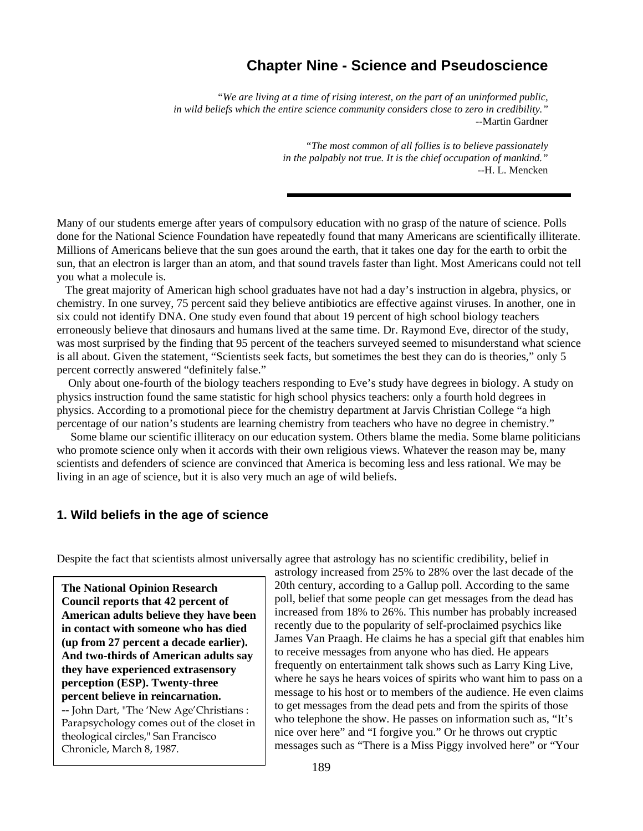# **Chapter Nine - Science and Pseudoscience**

*"We are living at a time of rising interest, on the part of an uninformed public, in wild beliefs which the entire science community considers close to zero in credibility."* --Martin Gardner

> *"The most common of all follies is to believe passionately in the palpably not true. It is the chief occupation of mankind."*  --H. L. Mencken

Many of our students emerge after years of compulsory education with no grasp of the nature of science. Polls done for the National Science Foundation have repeatedly found that many Americans are scientifically illiterate. Millions of Americans believe that the sun goes around the earth, that it takes one day for the earth to orbit the sun, that an electron is larger than an atom, and that sound travels faster than light. Most Americans could not tell you what a molecule is.

 The great majority of American high school graduates have not had a day's instruction in algebra, physics, or chemistry. In one survey, 75 percent said they believe antibiotics are effective against viruses. In another, one in six could not identify DNA. One study even found that about 19 percent of high school biology teachers erroneously believe that dinosaurs and humans lived at the same time. Dr. Raymond Eve, director of the study, was most surprised by the finding that 95 percent of the teachers surveyed seemed to misunderstand what science is all about. Given the statement, "Scientists seek facts, but sometimes the best they can do is theories," only 5 percent correctly answered "definitely false."

 Only about one-fourth of the biology teachers responding to Eve's study have degrees in biology. A study on physics instruction found the same statistic for high school physics teachers: only a fourth hold degrees in physics. According to a promotional piece for the chemistry department at Jarvis Christian College "a high percentage of our nation's students are learning chemistry from teachers who have no degree in chemistry."

 Some blame our scientific illiteracy on our education system. Others blame the media. Some blame politicians who promote science only when it accords with their own religious views. Whatever the reason may be, many scientists and defenders of science are convinced that America is becoming less and less rational. We may be living in an age of science, but it is also very much an age of wild beliefs.

# **1. Wild beliefs in the age of science**

Despite the fact that scientists almost universally agree that astrology has no scientific credibility, belief in

**The National Opinion Research Council reports that 42 percent of American adults believe they have been in contact with someone who has died (up from 27 percent a decade earlier). And two-thirds of American adults say they have experienced extrasensory perception (ESP). Twenty-three percent believe in reincarnation. --** John Dart, "The 'New Age'Christians : Parapsychology comes out of the closet in theological circles," San Francisco Chronicle, March 8, 1987.

astrology increased from 25% to 28% over the last decade of the 20th century, according to a Gallup poll. According to the same poll, belief that some people can get messages from the dead has increased from 18% to 26%. This number has probably increased recently due to the popularity of self-proclaimed psychics like James Van Praagh. He claims he has a special gift that enables him to receive messages from anyone who has died. He appears frequently on entertainment talk shows such as Larry King Live, where he says he hears voices of spirits who want him to pass on a message to his host or to members of the audience. He even claims to get messages from the dead pets and from the spirits of those who telephone the show. He passes on information such as, "It's nice over here" and "I forgive you." Or he throws out cryptic messages such as "There is a Miss Piggy involved here" or "Your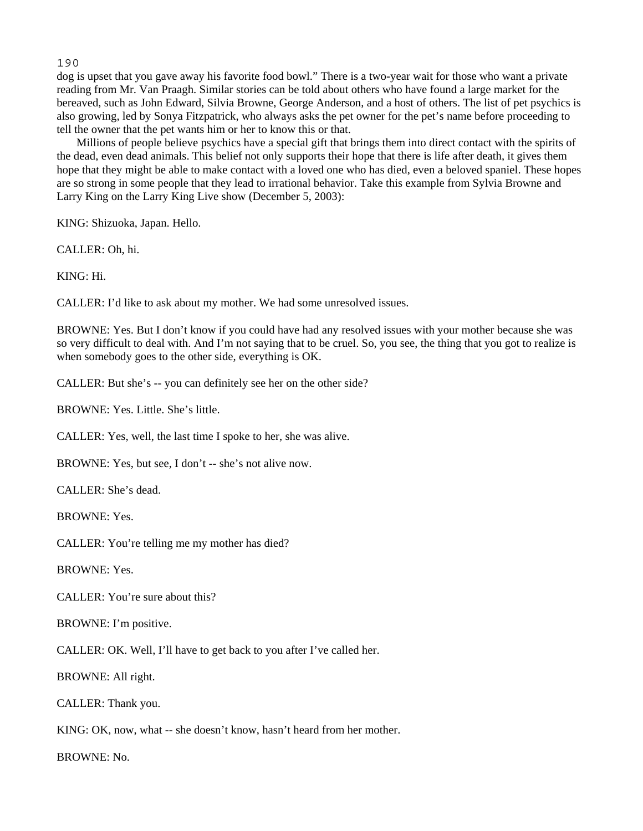dog is upset that you gave away his favorite food bowl." There is a two-year wait for those who want a private reading from Mr. Van Praagh. Similar stories can be told about others who have found a large market for the bereaved, such as John Edward, Silvia Browne, George Anderson, and a host of others. The list of pet psychics is also growing, led by Sonya Fitzpatrick, who always asks the pet owner for the pet's name before proceeding to tell the owner that the pet wants him or her to know this or that.

 Millions of people believe psychics have a special gift that brings them into direct contact with the spirits of the dead, even dead animals. This belief not only supports their hope that there is life after death, it gives them hope that they might be able to make contact with a loved one who has died, even a beloved spaniel. These hopes are so strong in some people that they lead to irrational behavior. Take this example from Sylvia Browne and Larry King on the Larry King Live show (December 5, 2003):

KING: Shizuoka, Japan. Hello.

CALLER: Oh, hi.

KING: Hi.

CALLER: I'd like to ask about my mother. We had some unresolved issues.

BROWNE: Yes. But I don't know if you could have had any resolved issues with your mother because she was so very difficult to deal with. And I'm not saying that to be cruel. So, you see, the thing that you got to realize is when somebody goes to the other side, everything is OK.

CALLER: But she's -- you can definitely see her on the other side?

BROWNE: Yes. Little. She's little.

CALLER: Yes, well, the last time I spoke to her, she was alive.

BROWNE: Yes, but see, I don't -- she's not alive now.

CALLER: She's dead.

BROWNE: Yes.

CALLER: You're telling me my mother has died?

BROWNE: Yes.

CALLER: You're sure about this?

BROWNE: I'm positive.

CALLER: OK. Well, I'll have to get back to you after I've called her.

BROWNE: All right.

CALLER: Thank you.

KING: OK, now, what -- she doesn't know, hasn't heard from her mother.

BROWNE: No.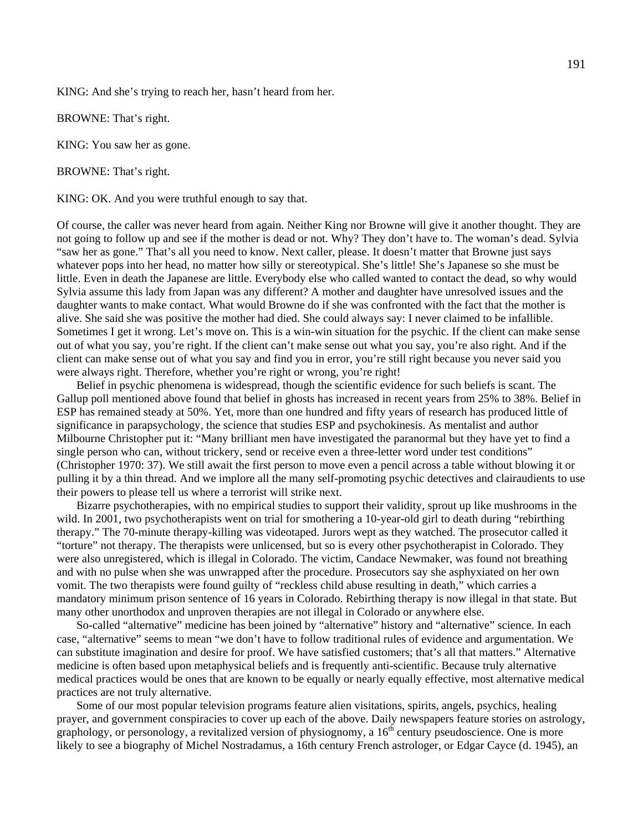KING: And she's trying to reach her, hasn't heard from her.

BROWNE: That's right.

KING: You saw her as gone.

BROWNE: That's right.

KING: OK. And you were truthful enough to say that.

Of course, the caller was never heard from again. Neither King nor Browne will give it another thought. They are not going to follow up and see if the mother is dead or not. Why? They don't have to. The woman's dead. Sylvia "saw her as gone." That's all you need to know. Next caller, please. It doesn't matter that Browne just says whatever pops into her head, no matter how silly or stereotypical. She's little! She's Japanese so she must be little. Even in death the Japanese are little. Everybody else who called wanted to contact the dead, so why would Sylvia assume this lady from Japan was any different? A mother and daughter have unresolved issues and the daughter wants to make contact. What would Browne do if she was confronted with the fact that the mother is alive. She said she was positive the mother had died. She could always say: I never claimed to be infallible. Sometimes I get it wrong. Let's move on. This is a win-win situation for the psychic. If the client can make sense out of what you say, you're right. If the client can't make sense out what you say, you're also right. And if the client can make sense out of what you say and find you in error, you're still right because you never said you were always right. Therefore, whether you're right or wrong, you're right!

 Belief in psychic phenomena is widespread, though the scientific evidence for such beliefs is scant. The Gallup poll mentioned above found that belief in ghosts has increased in recent years from 25% to 38%. Belief in ESP has remained steady at 50%. Yet, more than one hundred and fifty years of research has produced little of significance in parapsychology, the science that studies ESP and psychokinesis. As mentalist and author Milbourne Christopher put it: "Many brilliant men have investigated the paranormal but they have yet to find a single person who can, without trickery, send or receive even a three-letter word under test conditions" (Christopher 1970: 37). We still await the first person to move even a pencil across a table without blowing it or pulling it by a thin thread. And we implore all the many self-promoting psychic detectives and clairaudients to use their powers to please tell us where a terrorist will strike next.

 Bizarre psychotherapies, with no empirical studies to support their validity, sprout up like mushrooms in the wild. In 2001, two psychotherapists went on trial for smothering a 10-year-old girl to death during "rebirthing therapy." The 70-minute therapy-killing was videotaped. Jurors wept as they watched. The prosecutor called it "torture" not therapy. The therapists were unlicensed, but so is every other psychotherapist in Colorado. They were also unregistered, which is illegal in Colorado. The victim, Candace Newmaker, was found not breathing and with no pulse when she was unwrapped after the procedure. Prosecutors say she asphyxiated on her own vomit. The two therapists were found guilty of "reckless child abuse resulting in death," which carries a mandatory minimum prison sentence of 16 years in Colorado. Rebirthing therapy is now illegal in that state. But many other unorthodox and unproven therapies are not illegal in Colorado or anywhere else.

 So-called "alternative" medicine has been joined by "alternative" history and "alternative" science. In each case, "alternative" seems to mean "we don't have to follow traditional rules of evidence and argumentation. We can substitute imagination and desire for proof. We have satisfied customers; that's all that matters." Alternative medicine is often based upon metaphysical beliefs and is frequently anti-scientific. Because truly alternative medical practices would be ones that are known to be equally or nearly equally effective, most alternative medical practices are not truly alternative.

 Some of our most popular television programs feature alien visitations, spirits, angels, psychics, healing prayer, and government conspiracies to cover up each of the above. Daily newspapers feature stories on astrology, graphology, or personology, a revitalized version of physiognomy, a  $16<sup>th</sup>$  century pseudoscience. One is more likely to see a biography of Michel Nostradamus, a 16th century French astrologer, or Edgar Cayce (d. 1945), an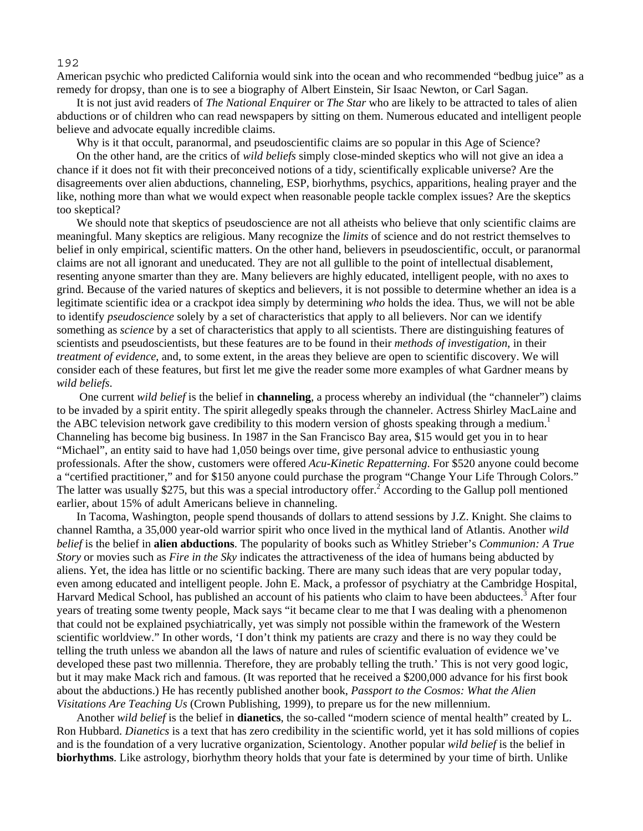American psychic who predicted California would sink into the ocean and who recommended "bedbug juice" as a remedy for dropsy, than one is to see a biography of Albert Einstein, Sir Isaac Newton, or Carl Sagan.

It is not just avid readers of *The National Enquirer* or *The Star* who are likely to be attracted to tales of alien abductions or of children who can read newspapers by sitting on them. Numerous educated and intelligent people believe and advocate equally incredible claims.

Why is it that occult, paranormal, and pseudoscientific claims are so popular in this Age of Science?

On the other hand, are the critics of *wild beliefs* simply close-minded skeptics who will not give an idea a chance if it does not fit with their preconceived notions of a tidy, scientifically explicable universe? Are the disagreements over alien abductions, channeling, ESP, biorhythms, psychics, apparitions, healing prayer and the like, nothing more than what we would expect when reasonable people tackle complex issues? Are the skeptics too skeptical?

We should note that skeptics of pseudoscience are not all atheists who believe that only scientific claims are meaningful. Many skeptics are religious. Many recognize the *limits* of science and do not restrict themselves to belief in only empirical, scientific matters. On the other hand, believers in pseudoscientific, occult, or paranormal claims are not all ignorant and uneducated. They are not all gullible to the point of intellectual disablement, resenting anyone smarter than they are. Many believers are highly educated, intelligent people, with no axes to grind. Because of the varied natures of skeptics and believers, it is not possible to determine whether an idea is a legitimate scientific idea or a crackpot idea simply by determining *who* holds the idea. Thus, we will not be able to identify *pseudoscience* solely by a set of characteristics that apply to all believers. Nor can we identify something as *science* by a set of characteristics that apply to all scientists. There are distinguishing features of scientists and pseudoscientists, but these features are to be found in their *methods of investigation*, in their *treatment of evidence*, and, to some extent, in the areas they believe are open to scientific discovery. We will consider each of these features, but first let me give the reader some more examples of what Gardner means by *wild beliefs*.

 One current *wild belief* is the belief in **channeling**, a process whereby an individual (the "channeler") claims to be invaded by a spirit entity. The spirit allegedly speaks through the channeler. Actress Shirley MacLaine and the ABC television network gave credibility to this modern version of ghosts speaking through a medium.<sup>1</sup> Channeling has become big business. In 1987 in the San Francisco Bay area, \$15 would get you in to hear "Michael", an entity said to have had 1,050 beings over time, give personal advice to enthusiastic young professionals. After the show, customers were offered *Acu-Kinetic Repatterning*. For \$520 anyone could become a "certified practitioner," and for \$150 anyone could purchase the program "Change Your Life Through Colors." The latter was usually \$275, but this was a special introductory offer.<sup>2</sup> According to the Gallup poll mentioned earlier, about 15% of adult Americans believe in channeling.

 In Tacoma, Washington, people spend thousands of dollars to attend sessions by J.Z. Knight. She claims to channel Ramtha, a 35,000 year-old warrior spirit who once lived in the mythical land of Atlantis. Another *wild belief* is the belief in **alien abductions**. The popularity of books such as Whitley Strieber's *Communion: A True Story* or movies such as *Fire in the Sky* indicates the attractiveness of the idea of humans being abducted by aliens. Yet, the idea has little or no scientific backing. There are many such ideas that are very popular today, even among educated and intelligent people. John E. Mack, a professor of psychiatry at the Cambridge Hospital, Harvard Medical School, has published an account of his patients who claim to have been abductees.<sup>3</sup> After four years of treating some twenty people, Mack says "it became clear to me that I was dealing with a phenomenon that could not be explained psychiatrically, yet was simply not possible within the framework of the Western scientific worldview." In other words, 'I don't think my patients are crazy and there is no way they could be telling the truth unless we abandon all the laws of nature and rules of scientific evaluation of evidence we've developed these past two millennia. Therefore, they are probably telling the truth.' This is not very good logic, but it may make Mack rich and famous. (It was reported that he received a \$200,000 advance for his first book about the abductions.) He has recently published another book, *Passport to the Cosmos: What the Alien Visitations Are Teaching Us* (Crown Publishing, 1999), to prepare us for the new millennium.

 Another *wild belief* is the belief in **dianetics**, the so-called "modern science of mental health" created by L. Ron Hubbard. *Dianetics* is a text that has zero credibility in the scientific world, yet it has sold millions of copies and is the foundation of a very lucrative organization, Scientology. Another popular *wild belief* is the belief in **biorhythms**. Like astrology, biorhythm theory holds that your fate is determined by your time of birth. Unlike

#### 192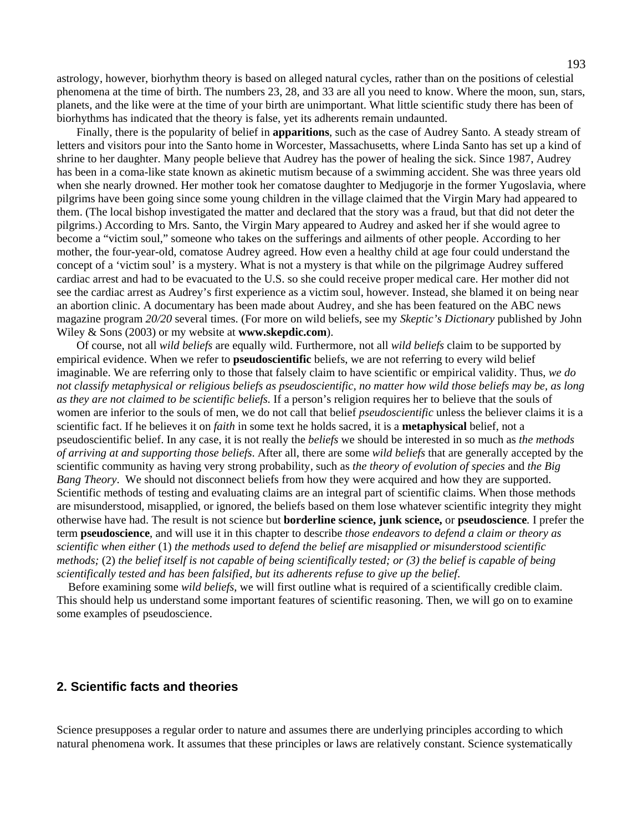astrology, however, biorhythm theory is based on alleged natural cycles, rather than on the positions of celestial phenomena at the time of birth. The numbers 23, 28, and 33 are all you need to know. Where the moon, sun, stars, planets, and the like were at the time of your birth are unimportant. What little scientific study there has been of biorhythms has indicated that the theory is false, yet its adherents remain undaunted.

 Finally, there is the popularity of belief in **apparitions**, such as the case of Audrey Santo. A steady stream of letters and visitors pour into the Santo home in Worcester, Massachusetts, where Linda Santo has set up a kind of shrine to her daughter. Many people believe that Audrey has the power of healing the sick. Since 1987, Audrey has been in a coma-like state known as akinetic mutism because of a swimming accident. She was three years old when she nearly drowned. Her mother took her comatose daughter to Medjugorje in the former Yugoslavia, where pilgrims have been going since some young children in the village claimed that the Virgin Mary had appeared to them. (The local bishop investigated the matter and declared that the story was a fraud, but that did not deter the pilgrims.) According to Mrs. Santo, the Virgin Mary appeared to Audrey and asked her if she would agree to become a "victim soul," someone who takes on the sufferings and ailments of other people. According to her mother, the four-year-old, comatose Audrey agreed. How even a healthy child at age four could understand the concept of a 'victim soul' is a mystery. What is not a mystery is that while on the pilgrimage Audrey suffered cardiac arrest and had to be evacuated to the U.S. so she could receive proper medical care. Her mother did not see the cardiac arrest as Audrey's first experience as a victim soul, however. Instead, she blamed it on being near an abortion clinic. A documentary has been made about Audrey, and she has been featured on the ABC news magazine program *20/20* several times. (For more on wild beliefs, see my *Skeptic's Dictionary* published by John Wiley & Sons (2003) or my website at **www.skepdic.com**).

 Of course, not all *wild beliefs* are equally wild. Furthermore, not all *wild beliefs* claim to be supported by empirical evidence. When we refer to **pseudoscientific** beliefs, we are not referring to every wild belief imaginable. We are referring only to those that falsely claim to have scientific or empirical validity. Thus*, we do not classify metaphysical or religious beliefs as pseudoscientific, no matter how wild those beliefs may be, as long as they are not claimed to be scientific beliefs.* If a person's religion requires her to believe that the souls of women are inferior to the souls of men, we do not call that belief *pseudoscientific* unless the believer claims it is a scientific fact. If he believes it on *faith* in some text he holds sacred, it is a **metaphysical** belief, not a pseudoscientific belief. In any case, it is not really the *beliefs* we should be interested in so much as *the methods of arriving at and supporting those beliefs*. After all, there are some *wild beliefs* that are generally accepted by the scientific community as having very strong probability, such as *the theory of evolution of species* and *the Big Bang Theory*. We should not disconnect beliefs from how they were acquired and how they are supported. Scientific methods of testing and evaluating claims are an integral part of scientific claims. When those methods are misunderstood, misapplied, or ignored, the beliefs based on them lose whatever scientific integrity they might otherwise have had. The result is not science but **borderline science, junk science,** or **pseudoscience***.* I prefer the term **pseudoscience**, and will use it in this chapter to describe *those endeavors to defend a claim or theory as scientific when either* (1) *the methods used to defend the belief are misapplied or misunderstood scientific methods;* (2) *the belief itself is not capable of being scientifically tested; or (3) the belief is capable of being scientifically tested and has been falsified, but its adherents refuse to give up the belief*.

 Before examining some *wild beliefs*, we will first outline what is required of a scientifically credible claim. This should help us understand some important features of scientific reasoning. Then, we will go on to examine some examples of pseudoscience.

# **2. Scientific facts and theories**

Science presupposes a regular order to nature and assumes there are underlying principles according to which natural phenomena work. It assumes that these principles or laws are relatively constant. Science systematically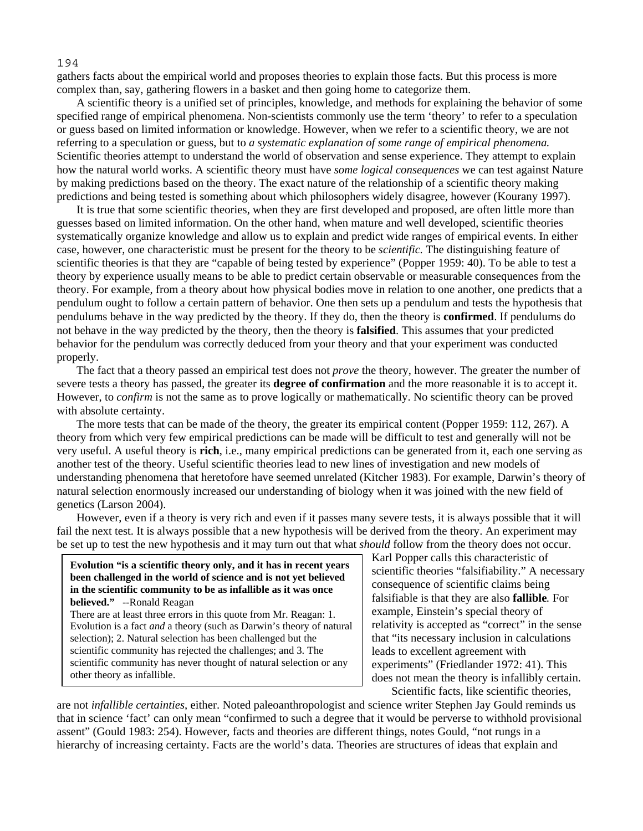gathers facts about the empirical world and proposes theories to explain those facts. But this process is more complex than, say, gathering flowers in a basket and then going home to categorize them.

A scientific theory is a unified set of principles, knowledge, and methods for explaining the behavior of some specified range of empirical phenomena. Non-scientists commonly use the term 'theory' to refer to a speculation or guess based on limited information or knowledge. However, when we refer to a scientific theory, we are not referring to a speculation or guess, but to *a systematic explanation of some range of empirical phenomena.*  Scientific theories attempt to understand the world of observation and sense experience. They attempt to explain how the natural world works. A scientific theory must have *some logical consequences* we can test against Nature by making predictions based on the theory. The exact nature of the relationship of a scientific theory making predictions and being tested is something about which philosophers widely disagree, however (Kourany 1997).

It is true that some scientific theories, when they are first developed and proposed, are often little more than guesses based on limited information. On the other hand, when mature and well developed, scientific theories systematically organize knowledge and allow us to explain and predict wide ranges of empirical events. In either case, however, one characteristic must be present for the theory to be *scientific.* The distinguishing feature of scientific theories is that they are "capable of being tested by experience" (Popper 1959: 40). To be able to test a theory by experience usually means to be able to predict certain observable or measurable consequences from the theory. For example, from a theory about how physical bodies move in relation to one another, one predicts that a pendulum ought to follow a certain pattern of behavior. One then sets up a pendulum and tests the hypothesis that pendulums behave in the way predicted by the theory. If they do, then the theory is **confirmed**. If pendulums do not behave in the way predicted by the theory, then the theory is **falsified**. This assumes that your predicted behavior for the pendulum was correctly deduced from your theory and that your experiment was conducted properly.

The fact that a theory passed an empirical test does not *prove* the theory, however. The greater the number of severe tests a theory has passed, the greater its **degree of confirmation** and the more reasonable it is to accept it. However, to *confirm* is not the same as to prove logically or mathematically. No scientific theory can be proved with absolute certainty.

The more tests that can be made of the theory, the greater its empirical content (Popper 1959: 112, 267). A theory from which very few empirical predictions can be made will be difficult to test and generally will not be very useful. A useful theory is **rich**, i.e., many empirical predictions can be generated from it, each one serving as another test of the theory. Useful scientific theories lead to new lines of investigation and new models of understanding phenomena that heretofore have seemed unrelated (Kitcher 1983). For example, Darwin's theory of natural selection enormously increased our understanding of biology when it was joined with the new field of genetics (Larson 2004).

However, even if a theory is very rich and even if it passes many severe tests, it is always possible that it will fail the next test. It is always possible that a new hypothesis will be derived from the theory. An experiment may be set up to test the new hypothesis and it may turn out that what *should* follow from the theory does not occur.

**Evolution "is a scientific theory only, and it has in recent years been challenged in the world of science and is not yet believed in the scientific community to be as infallible as it was once believed."** --Ronald Reagan There are at least three errors in this quote from Mr. Reagan: 1. Evolution is a fact *and* a theory (such as Darwin's theory of natural selection); 2. Natural selection has been challenged but the scientific community has rejected the challenges; and 3. The

scientific community has never thought of natural selection or any

other theory as infallible.

Karl Popper calls this characteristic of scientific theories "falsifiability." A necessary consequence of scientific claims being falsifiable is that they are also **fallible***.* For example, Einstein's special theory of relativity is accepted as "correct" in the sense that "its necessary inclusion in calculations leads to excellent agreement with experiments" (Friedlander 1972: 41). This does not mean the theory is infallibly certain.

Scientific facts, like scientific theories,

are not *infallible certainties*, either. Noted paleoanthropologist and science writer Stephen Jay Gould reminds us that in science 'fact' can only mean "confirmed to such a degree that it would be perverse to withhold provisional assent" (Gould 1983: 254). However, facts and theories are different things, notes Gould, "not rungs in a hierarchy of increasing certainty. Facts are the world's data. Theories are structures of ideas that explain and

### 194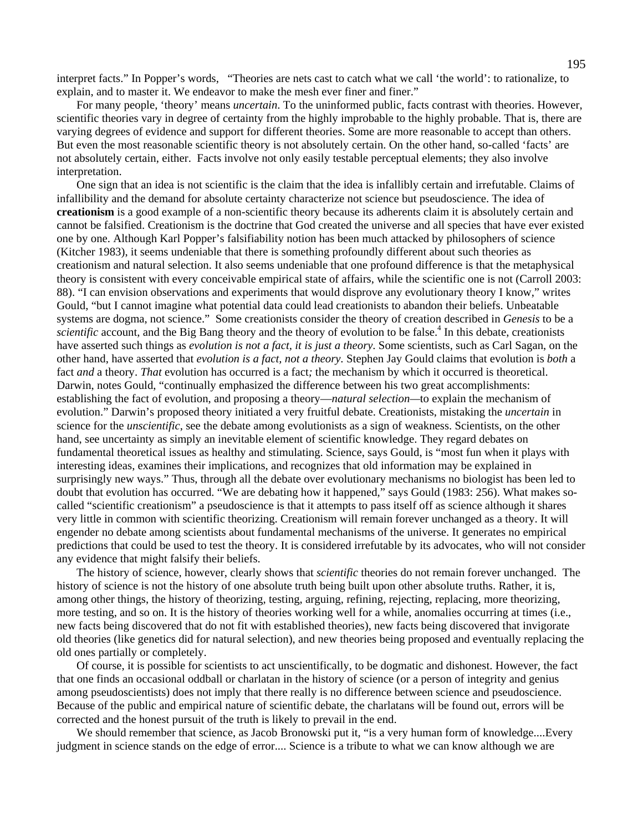interpret facts." In Popper's words, "Theories are nets cast to catch what we call 'the world': to rationalize, to explain, and to master it. We endeavor to make the mesh ever finer and finer."

For many people, 'theory' means *uncertain*. To the uninformed public, facts contrast with theories. However, scientific theories vary in degree of certainty from the highly improbable to the highly probable. That is, there are varying degrees of evidence and support for different theories. Some are more reasonable to accept than others. But even the most reasonable scientific theory is not absolutely certain. On the other hand, so-called 'facts' are not absolutely certain, either. Facts involve not only easily testable perceptual elements; they also involve interpretation.

One sign that an idea is not scientific is the claim that the idea is infallibly certain and irrefutable. Claims of infallibility and the demand for absolute certainty characterize not science but pseudoscience. The idea of **creationism** is a good example of a non-scientific theory because its adherents claim it is absolutely certain and cannot be falsified. Creationism is the doctrine that God created the universe and all species that have ever existed one by one. Although Karl Popper's falsifiability notion has been much attacked by philosophers of science (Kitcher 1983), it seems undeniable that there is something profoundly different about such theories as creationism and natural selection. It also seems undeniable that one profound difference is that the metaphysical theory is consistent with every conceivable empirical state of affairs, while the scientific one is not (Carroll 2003: 88). "I can envision observations and experiments that would disprove any evolutionary theory I know," writes Gould, "but I cannot imagine what potential data could lead creationists to abandon their beliefs. Unbeatable systems are dogma, not science." Some creationists consider the theory of creation described in *Genesis* to be a *scientific* account, and the Big Bang theory and the theory of evolution to be false.<sup>4</sup> In this debate, creationists have asserted such things as *evolution is not a fact, it is just a theory*. Some scientists, such as Carl Sagan, on the other hand, have asserted that *evolution is a fact, not a theory.* Stephen Jay Gould claims that evolution is *both* a fact *and* a theory. *That* evolution has occurred is a fact*;* the mechanism by which it occurred is theoretical. Darwin, notes Gould, "continually emphasized the difference between his two great accomplishments: establishing the fact of evolution, and proposing a theory—*natural selection—*to explain the mechanism of evolution." Darwin's proposed theory initiated a very fruitful debate. Creationists, mistaking the *uncertain* in science for the *unscientific*, see the debate among evolutionists as a sign of weakness. Scientists, on the other hand, see uncertainty as simply an inevitable element of scientific knowledge. They regard debates on fundamental theoretical issues as healthy and stimulating. Science, says Gould, is "most fun when it plays with interesting ideas, examines their implications, and recognizes that old information may be explained in surprisingly new ways." Thus, through all the debate over evolutionary mechanisms no biologist has been led to doubt that evolution has occurred. "We are debating how it happened," says Gould (1983: 256). What makes socalled "scientific creationism" a pseudoscience is that it attempts to pass itself off as science although it shares very little in common with scientific theorizing. Creationism will remain forever unchanged as a theory. It will engender no debate among scientists about fundamental mechanisms of the universe. It generates no empirical predictions that could be used to test the theory. It is considered irrefutable by its advocates, who will not consider any evidence that might falsify their beliefs.

The history of science, however, clearly shows that *scientific* theories do not remain forever unchanged. The history of science is not the history of one absolute truth being built upon other absolute truths. Rather, it is, among other things, the history of theorizing, testing, arguing, refining, rejecting, replacing, more theorizing, more testing, and so on. It is the history of theories working well for a while, anomalies occurring at times (i.e., new facts being discovered that do not fit with established theories), new facts being discovered that invigorate old theories (like genetics did for natural selection), and new theories being proposed and eventually replacing the old ones partially or completely.

Of course, it is possible for scientists to act unscientifically, to be dogmatic and dishonest. However, the fact that one finds an occasional oddball or charlatan in the history of science (or a person of integrity and genius among pseudoscientists) does not imply that there really is no difference between science and pseudoscience. Because of the public and empirical nature of scientific debate, the charlatans will be found out, errors will be corrected and the honest pursuit of the truth is likely to prevail in the end.

We should remember that science, as Jacob Bronowski put it, "is a very human form of knowledge....Every judgment in science stands on the edge of error.... Science is a tribute to what we can know although we are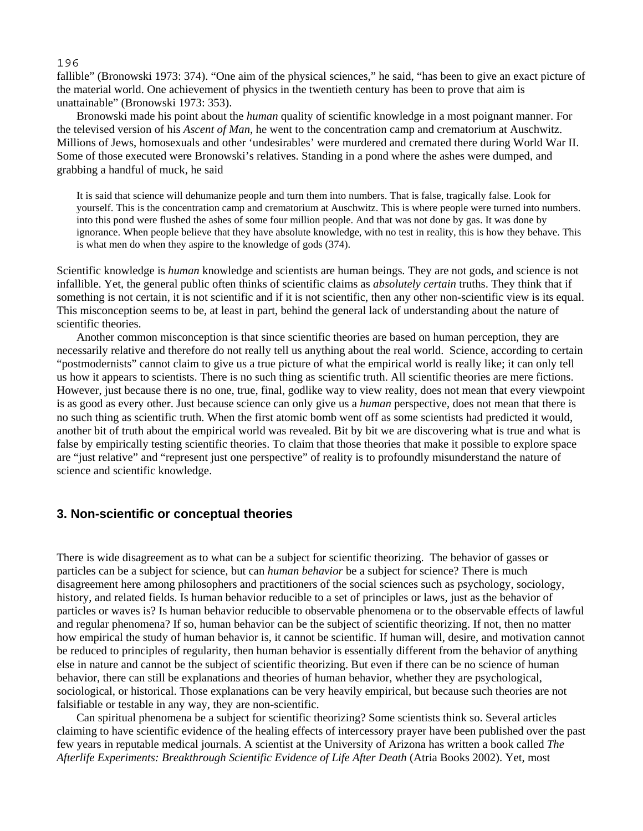fallible" (Bronowski 1973: 374). "One aim of the physical sciences," he said, "has been to give an exact picture of the material world. One achievement of physics in the twentieth century has been to prove that aim is unattainable" (Bronowski 1973: 353).

Bronowski made his point about the *human* quality of scientific knowledge in a most poignant manner. For the televised version of his *Ascent of Man*, he went to the concentration camp and crematorium at Auschwitz. Millions of Jews, homosexuals and other 'undesirables' were murdered and cremated there during World War II. Some of those executed were Bronowski's relatives. Standing in a pond where the ashes were dumped, and grabbing a handful of muck, he said

It is said that science will dehumanize people and turn them into numbers. That is false, tragically false. Look for yourself. This is the concentration camp and crematorium at Auschwitz. This is where people were turned into numbers. into this pond were flushed the ashes of some four million people. And that was not done by gas. It was done by ignorance. When people believe that they have absolute knowledge, with no test in reality, this is how they behave. This is what men do when they aspire to the knowledge of gods (374).

Scientific knowledge is *human* knowledge and scientists are human beings. They are not gods, and science is not infallible. Yet, the general public often thinks of scientific claims as *absolutely certain* truths. They think that if something is not certain, it is not scientific and if it is not scientific, then any other non-scientific view is its equal. This misconception seems to be, at least in part, behind the general lack of understanding about the nature of scientific theories.

Another common misconception is that since scientific theories are based on human perception, they are necessarily relative and therefore do not really tell us anything about the real world. Science, according to certain "postmodernists" cannot claim to give us a true picture of what the empirical world is really like; it can only tell us how it appears to scientists. There is no such thing as scientific truth. All scientific theories are mere fictions. However, just because there is no one, true, final, godlike way to view reality, does not mean that every viewpoint is as good as every other. Just because science can only give us a *human* perspective, does not mean that there is no such thing as scientific truth. When the first atomic bomb went off as some scientists had predicted it would, another bit of truth about the empirical world was revealed. Bit by bit we are discovering what is true and what is false by empirically testing scientific theories. To claim that those theories that make it possible to explore space are "just relative" and "represent just one perspective" of reality is to profoundly misunderstand the nature of science and scientific knowledge.

# **3. Non-scientific or conceptual theories**

There is wide disagreement as to what can be a subject for scientific theorizing. The behavior of gasses or particles can be a subject for science, but can *human behavior* be a subject for science? There is much disagreement here among philosophers and practitioners of the social sciences such as psychology, sociology, history, and related fields. Is human behavior reducible to a set of principles or laws, just as the behavior of particles or waves is? Is human behavior reducible to observable phenomena or to the observable effects of lawful and regular phenomena? If so, human behavior can be the subject of scientific theorizing. If not, then no matter how empirical the study of human behavior is, it cannot be scientific. If human will, desire, and motivation cannot be reduced to principles of regularity, then human behavior is essentially different from the behavior of anything else in nature and cannot be the subject of scientific theorizing. But even if there can be no science of human behavior, there can still be explanations and theories of human behavior, whether they are psychological, sociological, or historical. Those explanations can be very heavily empirical, but because such theories are not falsifiable or testable in any way, they are non-scientific.

 Can spiritual phenomena be a subject for scientific theorizing? Some scientists think so. Several articles claiming to have scientific evidence of the healing effects of intercessory prayer have been published over the past few years in reputable medical journals. A scientist at the University of Arizona has written a book called *The Afterlife Experiments: Breakthrough Scientific Evidence of Life After Death* (Atria Books 2002). Yet, most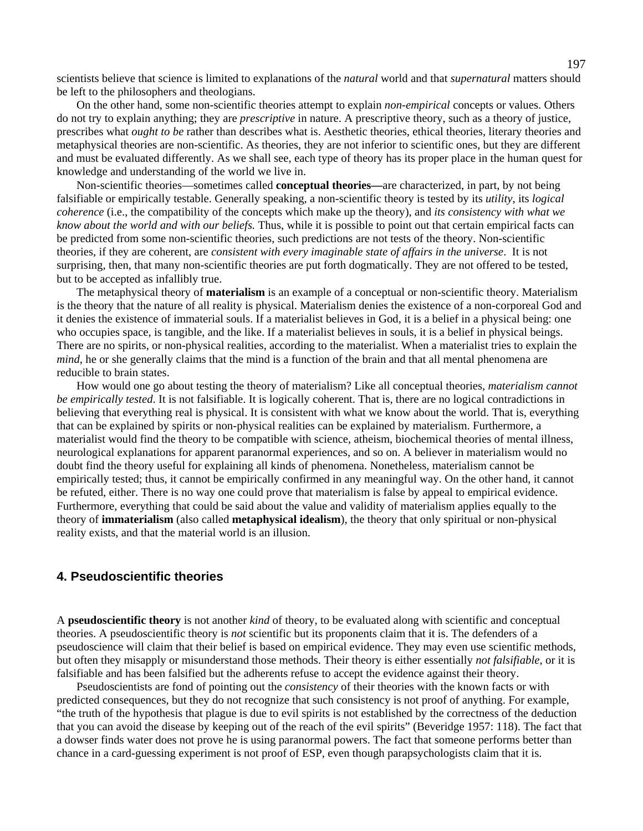scientists believe that science is limited to explanations of the *natural* world and that *supernatural* matters should be left to the philosophers and theologians.

On the other hand, some non-scientific theories attempt to explain *non-empirical* concepts or values. Others do not try to explain anything; they are *prescriptive* in nature. A prescriptive theory, such as a theory of justice, prescribes what *ought to be* rather than describes what is. Aesthetic theories, ethical theories, literary theories and metaphysical theories are non-scientific. As theories, they are not inferior to scientific ones, but they are different and must be evaluated differently. As we shall see, each type of theory has its proper place in the human quest for knowledge and understanding of the world we live in.

Non-scientific theories—sometimes called **conceptual theories—**are characterized, in part, by not being falsifiable or empirically testable. Generally speaking, a non-scientific theory is tested by its *utility*, its *logical coherence* (i.e., the compatibility of the concepts which make up the theory), and *its consistency with what we know about the world and with our beliefs.* Thus, while it is possible to point out that certain empirical facts can be predicted from some non-scientific theories, such predictions are not tests of the theory. Non-scientific theories, if they are coherent, are *consistent with every imaginable state of affairs in the universe*. It is not surprising, then, that many non-scientific theories are put forth dogmatically. They are not offered to be tested, but to be accepted as infallibly true.

The metaphysical theory of **materialism** is an example of a conceptual or non-scientific theory. Materialism is the theory that the nature of all reality is physical. Materialism denies the existence of a non-corporeal God and it denies the existence of immaterial souls. If a materialist believes in God, it is a belief in a physical being: one who occupies space, is tangible, and the like. If a materialist believes in souls, it is a belief in physical beings. There are no spirits, or non-physical realities, according to the materialist. When a materialist tries to explain the *mind*, he or she generally claims that the mind is a function of the brain and that all mental phenomena are reducible to brain states.

How would one go about testing the theory of materialism? Like all conceptual theories*, materialism cannot be empirically tested*. It is not falsifiable. It is logically coherent. That is, there are no logical contradictions in believing that everything real is physical. It is consistent with what we know about the world. That is, everything that can be explained by spirits or non-physical realities can be explained by materialism. Furthermore, a materialist would find the theory to be compatible with science, atheism, biochemical theories of mental illness, neurological explanations for apparent paranormal experiences, and so on. A believer in materialism would no doubt find the theory useful for explaining all kinds of phenomena. Nonetheless, materialism cannot be empirically tested; thus, it cannot be empirically confirmed in any meaningful way. On the other hand, it cannot be refuted, either. There is no way one could prove that materialism is false by appeal to empirical evidence. Furthermore, everything that could be said about the value and validity of materialism applies equally to the theory of **immaterialism** (also called **metaphysical idealism**), the theory that only spiritual or non-physical reality exists, and that the material world is an illusion.

### **4. Pseudoscientific theories**

A **pseudoscientific theory** is not another *kind* of theory, to be evaluated along with scientific and conceptual theories. A pseudoscientific theory is *not* scientific but its proponents claim that it is. The defenders of a pseudoscience will claim that their belief is based on empirical evidence. They may even use scientific methods, but often they misapply or misunderstand those methods. Their theory is either essentially *not falsifiable*, or it is falsifiable and has been falsified but the adherents refuse to accept the evidence against their theory.

 Pseudoscientists are fond of pointing out the *consistency* of their theories with the known facts or with predicted consequences, but they do not recognize that such consistency is not proof of anything. For example, "the truth of the hypothesis that plague is due to evil spirits is not established by the correctness of the deduction that you can avoid the disease by keeping out of the reach of the evil spirits" (Beveridge 1957: 118). The fact that a dowser finds water does not prove he is using paranormal powers. The fact that someone performs better than chance in a card-guessing experiment is not proof of ESP, even though parapsychologists claim that it is.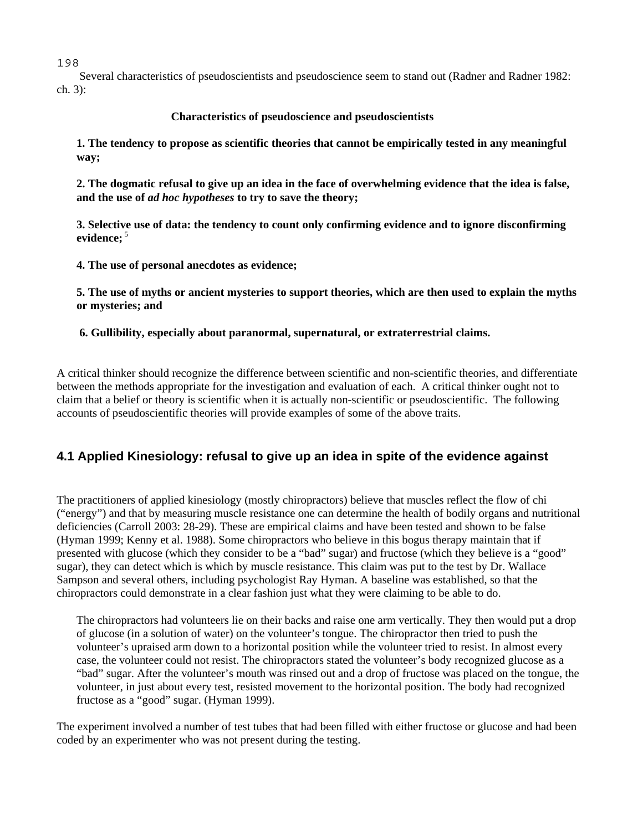Several characteristics of pseudoscientists and pseudoscience seem to stand out (Radner and Radner 1982: ch. 3):

### **Characteristics of pseudoscience and pseudoscientists**

**1. The tendency to propose as scientific theories that cannot be empirically tested in any meaningful way;** 

**2. The dogmatic refusal to give up an idea in the face of overwhelming evidence that the idea is false, and the use of** *ad hoc hypotheses* **to try to save the theory;** 

**3. Selective use of data: the tendency to count only confirming evidence and to ignore disconfirming**  evidence:<sup>5</sup>

**4. The use of personal anecdotes as evidence;** 

**5. The use of myths or ancient mysteries to support theories, which are then used to explain the myths or mysteries; and** 

 **6. Gullibility, especially about paranormal, supernatural, or extraterrestrial claims.**

A critical thinker should recognize the difference between scientific and non-scientific theories, and differentiate between the methods appropriate for the investigation and evaluation of each. A critical thinker ought not to claim that a belief or theory is scientific when it is actually non-scientific or pseudoscientific. The following accounts of pseudoscientific theories will provide examples of some of the above traits.

# **4.1 Applied Kinesiology: refusal to give up an idea in spite of the evidence against**

The practitioners of applied kinesiology (mostly chiropractors) believe that muscles reflect the flow of chi ("energy") and that by measuring muscle resistance one can determine the health of bodily organs and nutritional deficiencies (Carroll 2003: 28-29). These are empirical claims and have been tested and shown to be false (Hyman 1999; Kenny et al. 1988). Some chiropractors who believe in this bogus therapy maintain that if presented with glucose (which they consider to be a "bad" sugar) and fructose (which they believe is a "good" sugar), they can detect which is which by muscle resistance. This claim was put to the test by Dr. Wallace Sampson and several others, including psychologist Ray Hyman. A baseline was established, so that the chiropractors could demonstrate in a clear fashion just what they were claiming to be able to do.

The chiropractors had volunteers lie on their backs and raise one arm vertically. They then would put a drop of glucose (in a solution of water) on the volunteer's tongue. The chiropractor then tried to push the volunteer's upraised arm down to a horizontal position while the volunteer tried to resist. In almost every case, the volunteer could not resist. The chiropractors stated the volunteer's body recognized glucose as a "bad" sugar. After the volunteer's mouth was rinsed out and a drop of fructose was placed on the tongue, the volunteer, in just about every test, resisted movement to the horizontal position. The body had recognized fructose as a "good" sugar. (Hyman 1999).

The experiment involved a number of test tubes that had been filled with either fructose or glucose and had been coded by an experimenter who was not present during the testing.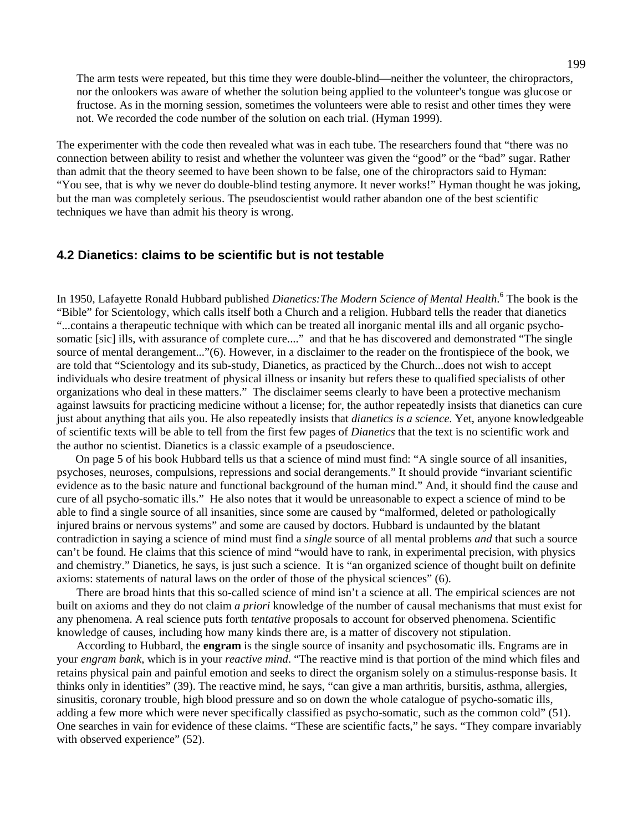The arm tests were repeated, but this time they were double-blind—neither the volunteer, the chiropractors, nor the onlookers was aware of whether the solution being applied to the volunteer's tongue was glucose or fructose. As in the morning session, sometimes the volunteers were able to resist and other times they were not. We recorded the code number of the solution on each trial. (Hyman 1999).

The experimenter with the code then revealed what was in each tube. The researchers found that "there was no connection between ability to resist and whether the volunteer was given the "good" or the "bad" sugar. Rather than admit that the theory seemed to have been shown to be false, one of the chiropractors said to Hyman: "You see, that is why we never do double-blind testing anymore. It never works!" Hyman thought he was joking, but the man was completely serious. The pseudoscientist would rather abandon one of the best scientific techniques we have than admit his theory is wrong.

# **4.2 Dianetics: claims to be scientific but is not testable**

In 1950, Lafayette Ronald Hubbard published *Dianetics:The Modern Science of Mental Health*. 6 The book is the "Bible" for Scientology, which calls itself both a Church and a religion. Hubbard tells the reader that dianetics "...contains a therapeutic technique with which can be treated all inorganic mental ills and all organic psychosomatic [sic] ills, with assurance of complete cure...." and that he has discovered and demonstrated "The single source of mental derangement..."(6). However, in a disclaimer to the reader on the frontispiece of the book, we are told that "Scientology and its sub-study, Dianetics, as practiced by the Church...does not wish to accept individuals who desire treatment of physical illness or insanity but refers these to qualified specialists of other organizations who deal in these matters." The disclaimer seems clearly to have been a protective mechanism against lawsuits for practicing medicine without a license; for, the author repeatedly insists that dianetics can cure just about anything that ails you. He also repeatedly insists that *dianetics is a science*. Yet, anyone knowledgeable of scientific texts will be able to tell from the first few pages of *Dianetics* that the text is no scientific work and the author no scientist. Dianetics is a classic example of a pseudoscience.

On page 5 of his book Hubbard tells us that a science of mind must find: "A single source of all insanities, psychoses, neuroses, compulsions, repressions and social derangements." It should provide "invariant scientific evidence as to the basic nature and functional background of the human mind." And, it should find the cause and cure of all psycho-somatic ills." He also notes that it would be unreasonable to expect a science of mind to be able to find a single source of all insanities, since some are caused by "malformed, deleted or pathologically injured brains or nervous systems" and some are caused by doctors. Hubbard is undaunted by the blatant contradiction in saying a science of mind must find a *single* source of all mental problems *and* that such a source can't be found. He claims that this science of mind "would have to rank, in experimental precision, with physics and chemistry." Dianetics, he says, is just such a science. It is "an organized science of thought built on definite axioms: statements of natural laws on the order of those of the physical sciences" (6).

There are broad hints that this so-called science of mind isn't a science at all. The empirical sciences are not built on axioms and they do not claim *a priori* knowledge of the number of causal mechanisms that must exist for any phenomena. A real science puts forth *tentative* proposals to account for observed phenomena. Scientific knowledge of causes, including how many kinds there are, is a matter of discovery not stipulation.

According to Hubbard, the **engram** is the single source of insanity and psychosomatic ills. Engrams are in your *engram bank*, which is in your *reactive mind*. "The reactive mind is that portion of the mind which files and retains physical pain and painful emotion and seeks to direct the organism solely on a stimulus-response basis. It thinks only in identities" (39). The reactive mind, he says, "can give a man arthritis, bursitis, asthma, allergies, sinusitis, coronary trouble, high blood pressure and so on down the whole catalogue of psycho-somatic ills, adding a few more which were never specifically classified as psycho-somatic, such as the common cold" (51). One searches in vain for evidence of these claims. "These are scientific facts," he says. "They compare invariably with observed experience" (52).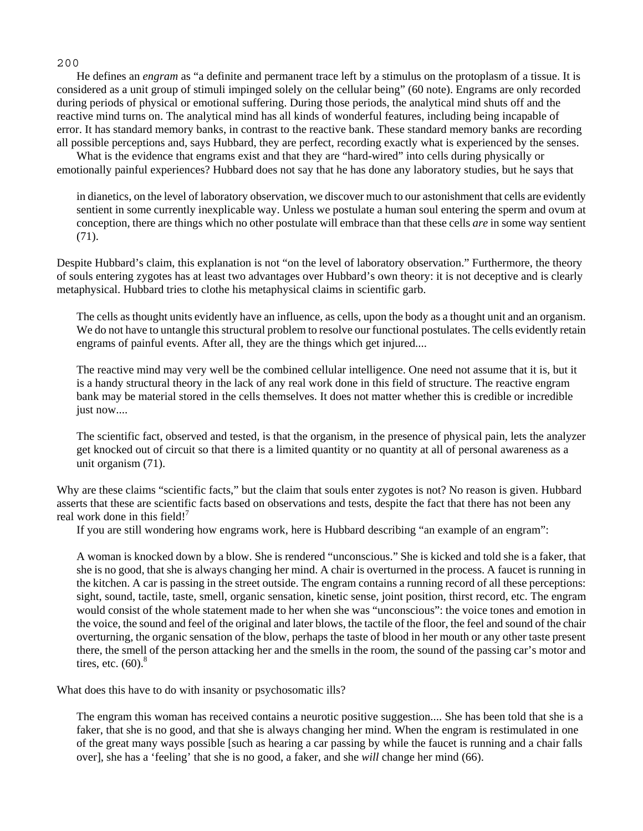He defines an *engram* as "a definite and permanent trace left by a stimulus on the protoplasm of a tissue. It is considered as a unit group of stimuli impinged solely on the cellular being" (60 note). Engrams are only recorded during periods of physical or emotional suffering. During those periods, the analytical mind shuts off and the reactive mind turns on. The analytical mind has all kinds of wonderful features, including being incapable of error. It has standard memory banks, in contrast to the reactive bank. These standard memory banks are recording all possible perceptions and, says Hubbard, they are perfect, recording exactly what is experienced by the senses.

What is the evidence that engrams exist and that they are "hard-wired" into cells during physically or emotionally painful experiences? Hubbard does not say that he has done any laboratory studies, but he says that

in dianetics, on the level of laboratory observation, we discover much to our astonishment that cells are evidently sentient in some currently inexplicable way. Unless we postulate a human soul entering the sperm and ovum at conception, there are things which no other postulate will embrace than that these cells *are* in some way sentient (71).

Despite Hubbard's claim, this explanation is not "on the level of laboratory observation." Furthermore, the theory of souls entering zygotes has at least two advantages over Hubbard's own theory: it is not deceptive and is clearly metaphysical. Hubbard tries to clothe his metaphysical claims in scientific garb.

The cells as thought units evidently have an influence, as cells, upon the body as a thought unit and an organism. We do not have to untangle this structural problem to resolve our functional postulates. The cells evidently retain engrams of painful events. After all, they are the things which get injured....

The reactive mind may very well be the combined cellular intelligence. One need not assume that it is, but it is a handy structural theory in the lack of any real work done in this field of structure. The reactive engram bank may be material stored in the cells themselves. It does not matter whether this is credible or incredible just now....

The scientific fact, observed and tested, is that the organism, in the presence of physical pain, lets the analyzer get knocked out of circuit so that there is a limited quantity or no quantity at all of personal awareness as a unit organism (71).

Why are these claims "scientific facts," but the claim that souls enter zygotes is not? No reason is given. Hubbard asserts that these are scientific facts based on observations and tests, despite the fact that there has not been any real work done in this field!<sup>7</sup>

If you are still wondering how engrams work, here is Hubbard describing "an example of an engram":

A woman is knocked down by a blow. She is rendered "unconscious." She is kicked and told she is a faker, that she is no good, that she is always changing her mind. A chair is overturned in the process. A faucet is running in the kitchen. A car is passing in the street outside. The engram contains a running record of all these perceptions: sight, sound, tactile, taste, smell, organic sensation, kinetic sense, joint position, thirst record, etc. The engram would consist of the whole statement made to her when she was "unconscious": the voice tones and emotion in the voice, the sound and feel of the original and later blows, the tactile of the floor, the feel and sound of the chair overturning, the organic sensation of the blow, perhaps the taste of blood in her mouth or any other taste present there, the smell of the person attacking her and the smells in the room, the sound of the passing car's motor and tires, etc.  $(60)^8$ 

What does this have to do with insanity or psychosomatic ills?

The engram this woman has received contains a neurotic positive suggestion.... She has been told that she is a faker, that she is no good, and that she is always changing her mind. When the engram is restimulated in one of the great many ways possible [such as hearing a car passing by while the faucet is running and a chair falls over], she has a 'feeling' that she is no good, a faker, and she *will* change her mind (66).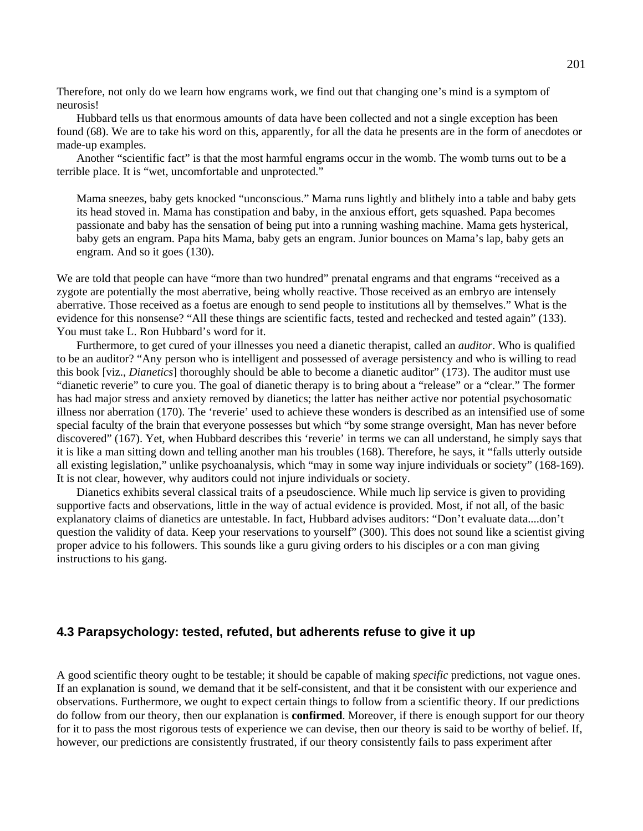Therefore, not only do we learn how engrams work, we find out that changing one's mind is a symptom of neurosis!

Hubbard tells us that enormous amounts of data have been collected and not a single exception has been found (68). We are to take his word on this, apparently, for all the data he presents are in the form of anecdotes or made-up examples.

Another "scientific fact" is that the most harmful engrams occur in the womb. The womb turns out to be a terrible place. It is "wet, uncomfortable and unprotected."

Mama sneezes, baby gets knocked "unconscious." Mama runs lightly and blithely into a table and baby gets its head stoved in. Mama has constipation and baby, in the anxious effort, gets squashed. Papa becomes passionate and baby has the sensation of being put into a running washing machine. Mama gets hysterical, baby gets an engram. Papa hits Mama, baby gets an engram. Junior bounces on Mama's lap, baby gets an engram. And so it goes (130).

We are told that people can have "more than two hundred" prenatal engrams and that engrams "received as a zygote are potentially the most aberrative, being wholly reactive. Those received as an embryo are intensely aberrative. Those received as a foetus are enough to send people to institutions all by themselves." What is the evidence for this nonsense? "All these things are scientific facts, tested and rechecked and tested again" (133). You must take L. Ron Hubbard's word for it.

Furthermore, to get cured of your illnesses you need a dianetic therapist, called an *auditor*. Who is qualified to be an auditor? "Any person who is intelligent and possessed of average persistency and who is willing to read this book [viz., *Dianetics*] thoroughly should be able to become a dianetic auditor" (173). The auditor must use "dianetic reverie" to cure you. The goal of dianetic therapy is to bring about a "release" or a "clear." The former has had major stress and anxiety removed by dianetics; the latter has neither active nor potential psychosomatic illness nor aberration (170). The 'reverie' used to achieve these wonders is described as an intensified use of some special faculty of the brain that everyone possesses but which "by some strange oversight, Man has never before discovered" (167). Yet, when Hubbard describes this 'reverie' in terms we can all understand, he simply says that it is like a man sitting down and telling another man his troubles (168). Therefore, he says, it "falls utterly outside all existing legislation," unlike psychoanalysis, which "may in some way injure individuals or society" (168-169). It is not clear, however, why auditors could not injure individuals or society.

Dianetics exhibits several classical traits of a pseudoscience. While much lip service is given to providing supportive facts and observations, little in the way of actual evidence is provided. Most, if not all, of the basic explanatory claims of dianetics are untestable. In fact, Hubbard advises auditors: "Don't evaluate data....don't question the validity of data. Keep your reservations to yourself" (300). This does not sound like a scientist giving proper advice to his followers. This sounds like a guru giving orders to his disciples or a con man giving instructions to his gang.

### **4.3 Parapsychology: tested, refuted, but adherents refuse to give it up**

A good scientific theory ought to be testable; it should be capable of making *specific* predictions, not vague ones. If an explanation is sound, we demand that it be self-consistent, and that it be consistent with our experience and observations. Furthermore, we ought to expect certain things to follow from a scientific theory. If our predictions do follow from our theory, then our explanation is **confirmed**. Moreover, if there is enough support for our theory for it to pass the most rigorous tests of experience we can devise, then our theory is said to be worthy of belief. If, however, our predictions are consistently frustrated, if our theory consistently fails to pass experiment after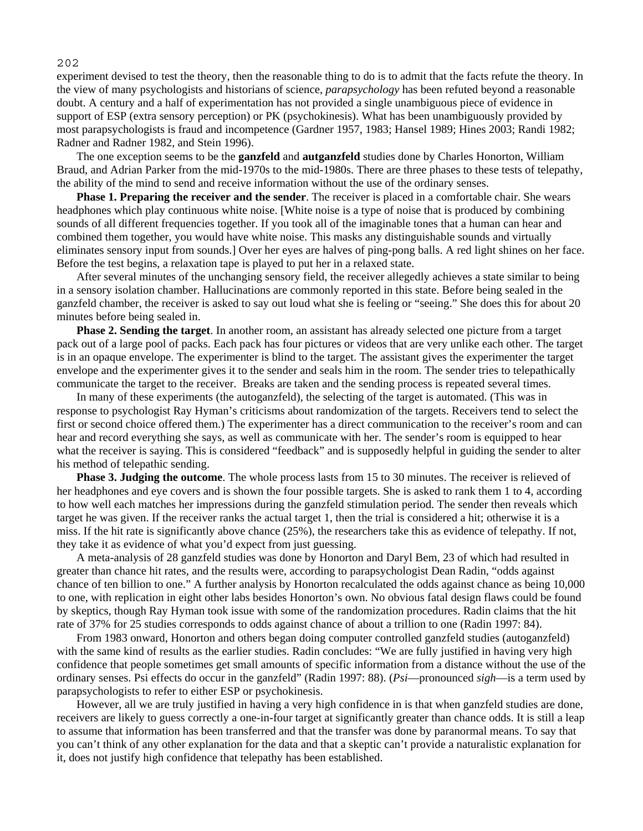experiment devised to test the theory, then the reasonable thing to do is to admit that the facts refute the theory. In the view of many psychologists and historians of science, *parapsychology* has been refuted beyond a reasonable doubt. A century and a half of experimentation has not provided a single unambiguous piece of evidence in support of ESP (extra sensory perception) or PK (psychokinesis). What has been unambiguously provided by most parapsychologists is fraud and incompetence (Gardner 1957, 1983; Hansel 1989; Hines 2003; Randi 1982; Radner and Radner 1982, and Stein 1996).

 The one exception seems to be the **ganzfeld** and **autganzfeld** studies done by Charles Honorton, William Braud, and Adrian Parker from the mid-1970s to the mid-1980s. There are three phases to these tests of telepathy, the ability of the mind to send and receive information without the use of the ordinary senses.

**Phase 1. Preparing the receiver and the sender**. The receiver is placed in a comfortable chair. She wears headphones which play continuous white noise. [White noise is a type of noise that is produced by combining sounds of all different frequencies together. If you took all of the imaginable tones that a human can hear and combined them together, you would have white noise. This masks any distinguishable sounds and virtually eliminates sensory input from sounds.] Over her eyes are halves of ping-pong balls. A red light shines on her face. Before the test begins, a relaxation tape is played to put her in a relaxed state.

 After several minutes of the unchanging sensory field, the receiver allegedly achieves a state similar to being in a sensory isolation chamber. Hallucinations are commonly reported in this state. Before being sealed in the ganzfeld chamber, the receiver is asked to say out loud what she is feeling or "seeing." She does this for about 20 minutes before being sealed in.

**Phase 2. Sending the target**. In another room, an assistant has already selected one picture from a target pack out of a large pool of packs. Each pack has four pictures or videos that are very unlike each other. The target is in an opaque envelope. The experimenter is blind to the target. The assistant gives the experimenter the target envelope and the experimenter gives it to the sender and seals him in the room. The sender tries to telepathically communicate the target to the receiver. Breaks are taken and the sending process is repeated several times.

 In many of these experiments (the autoganzfeld), the selecting of the target is automated. (This was in response to psychologist Ray Hyman's criticisms about randomization of the targets. Receivers tend to select the first or second choice offered them.) The experimenter has a direct communication to the receiver's room and can hear and record everything she says, as well as communicate with her. The sender's room is equipped to hear what the receiver is saying. This is considered "feedback" and is supposedly helpful in guiding the sender to alter his method of telepathic sending.

**Phase 3. Judging the outcome**. The whole process lasts from 15 to 30 minutes. The receiver is relieved of her headphones and eye covers and is shown the four possible targets. She is asked to rank them 1 to 4, according to how well each matches her impressions during the ganzfeld stimulation period. The sender then reveals which target he was given. If the receiver ranks the actual target 1, then the trial is considered a hit; otherwise it is a miss. If the hit rate is significantly above chance (25%), the researchers take this as evidence of telepathy. If not, they take it as evidence of what you'd expect from just guessing.

 A meta-analysis of 28 ganzfeld studies was done by Honorton and Daryl Bem, 23 of which had resulted in greater than chance hit rates, and the results were, according to parapsychologist Dean Radin, "odds against chance of ten billion to one." A further analysis by Honorton recalculated the odds against chance as being 10,000 to one, with replication in eight other labs besides Honorton's own. No obvious fatal design flaws could be found by skeptics, though Ray Hyman took issue with some of the randomization procedures. Radin claims that the hit rate of 37% for 25 studies corresponds to odds against chance of about a trillion to one (Radin 1997: 84).

 From 1983 onward, Honorton and others began doing computer controlled ganzfeld studies (autoganzfeld) with the same kind of results as the earlier studies. Radin concludes: "We are fully justified in having very high confidence that people sometimes get small amounts of specific information from a distance without the use of the ordinary senses. Psi effects do occur in the ganzfeld" (Radin 1997: 88). (*Psi*—pronounced *sigh*—is a term used by parapsychologists to refer to either ESP or psychokinesis.

 However, all we are truly justified in having a very high confidence in is that when ganzfeld studies are done, receivers are likely to guess correctly a one-in-four target at significantly greater than chance odds. It is still a leap to assume that information has been transferred and that the transfer was done by paranormal means. To say that you can't think of any other explanation for the data and that a skeptic can't provide a naturalistic explanation for it, does not justify high confidence that telepathy has been established.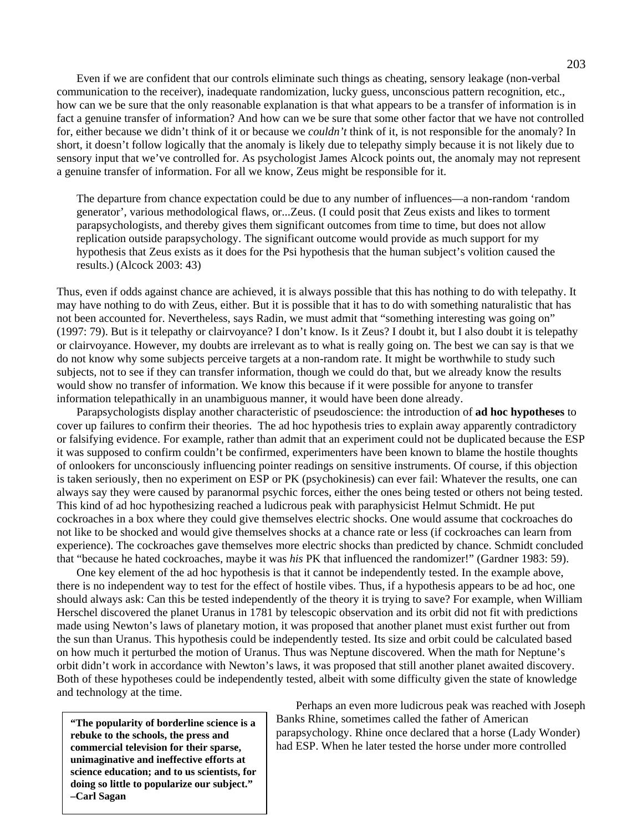Even if we are confident that our controls eliminate such things as cheating, sensory leakage (non-verbal communication to the receiver), inadequate randomization, lucky guess, unconscious pattern recognition, etc., how can we be sure that the only reasonable explanation is that what appears to be a transfer of information is in fact a genuine transfer of information? And how can we be sure that some other factor that we have not controlled for, either because we didn't think of it or because we *couldn't* think of it, is not responsible for the anomaly? In short, it doesn't follow logically that the anomaly is likely due to telepathy simply because it is not likely due to sensory input that we've controlled for. As psychologist James Alcock points out, the anomaly may not represent a genuine transfer of information. For all we know, Zeus might be responsible for it.

The departure from chance expectation could be due to any number of influences—a non-random 'random generator', various methodological flaws, or...Zeus. (I could posit that Zeus exists and likes to torment parapsychologists, and thereby gives them significant outcomes from time to time, but does not allow replication outside parapsychology. The significant outcome would provide as much support for my hypothesis that Zeus exists as it does for the Psi hypothesis that the human subject's volition caused the results.) (Alcock 2003: 43)

Thus, even if odds against chance are achieved, it is always possible that this has nothing to do with telepathy. It may have nothing to do with Zeus, either. But it is possible that it has to do with something naturalistic that has not been accounted for. Nevertheless, says Radin, we must admit that "something interesting was going on" (1997: 79). But is it telepathy or clairvoyance? I don't know. Is it Zeus? I doubt it, but I also doubt it is telepathy or clairvoyance. However, my doubts are irrelevant as to what is really going on. The best we can say is that we do not know why some subjects perceive targets at a non-random rate. It might be worthwhile to study such subjects, not to see if they can transfer information, though we could do that, but we already know the results would show no transfer of information. We know this because if it were possible for anyone to transfer information telepathically in an unambiguous manner, it would have been done already.

 Parapsychologists display another characteristic of pseudoscience: the introduction of **ad hoc hypotheses** to cover up failures to confirm their theories. The ad hoc hypothesis tries to explain away apparently contradictory or falsifying evidence. For example, rather than admit that an experiment could not be duplicated because the ESP it was supposed to confirm couldn't be confirmed, experimenters have been known to blame the hostile thoughts of onlookers for unconsciously influencing pointer readings on sensitive instruments. Of course, if this objection is taken seriously, then no experiment on ESP or PK (psychokinesis) can ever fail: Whatever the results, one can always say they were caused by paranormal psychic forces, either the ones being tested or others not being tested. This kind of ad hoc hypothesizing reached a ludicrous peak with paraphysicist Helmut Schmidt. He put cockroaches in a box where they could give themselves electric shocks. One would assume that cockroaches do not like to be shocked and would give themselves shocks at a chance rate or less (if cockroaches can learn from experience). The cockroaches gave themselves more electric shocks than predicted by chance. Schmidt concluded that "because he hated cockroaches, maybe it was *his* PK that influenced the randomizer!" (Gardner 1983: 59).

 One key element of the ad hoc hypothesis is that it cannot be independently tested. In the example above, there is no independent way to test for the effect of hostile vibes. Thus, if a hypothesis appears to be ad hoc, one should always ask: Can this be tested independently of the theory it is trying to save? For example, when William Herschel discovered the planet Uranus in 1781 by telescopic observation and its orbit did not fit with predictions made using Newton's laws of planetary motion, it was proposed that another planet must exist further out from the sun than Uranus. This hypothesis could be independently tested. Its size and orbit could be calculated based on how much it perturbed the motion of Uranus. Thus was Neptune discovered. When the math for Neptune's orbit didn't work in accordance with Newton's laws, it was proposed that still another planet awaited discovery. Both of these hypotheses could be independently tested, albeit with some difficulty given the state of knowledge and technology at the time.

**"The popularity of borderline science is a rebuke to the schools, the press and commercial television for their sparse, unimaginative and ineffective efforts at science education; and to us scientists, for doing so little to popularize our subject." –Carl Sagan**

 Perhaps an even more ludicrous peak was reached with Joseph Banks Rhine, sometimes called the father of American parapsychology. Rhine once declared that a horse (Lady Wonder) had ESP. When he later tested the horse under more controlled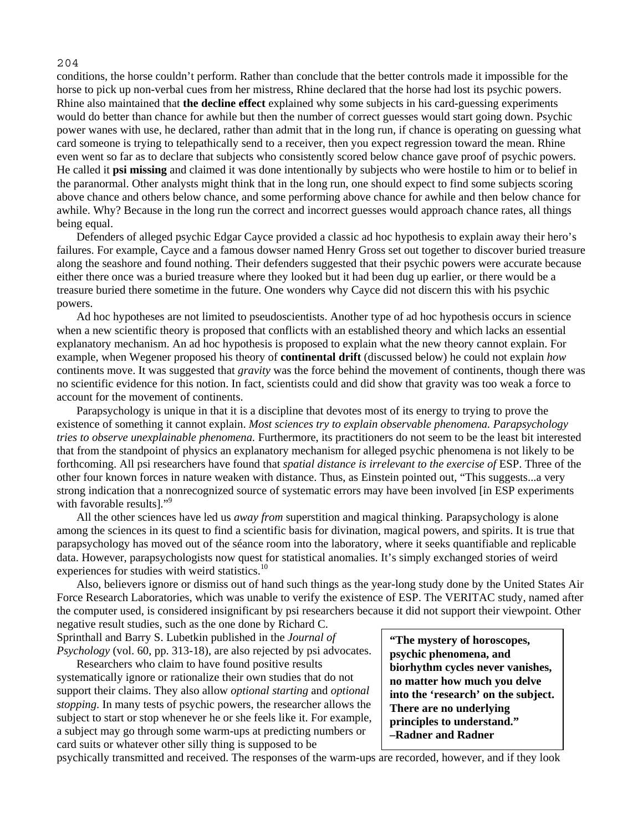conditions, the horse couldn't perform. Rather than conclude that the better controls made it impossible for the horse to pick up non-verbal cues from her mistress, Rhine declared that the horse had lost its psychic powers. Rhine also maintained that **the decline effect** explained why some subjects in his card-guessing experiments would do better than chance for awhile but then the number of correct guesses would start going down. Psychic power wanes with use, he declared, rather than admit that in the long run, if chance is operating on guessing what card someone is trying to telepathically send to a receiver, then you expect regression toward the mean. Rhine even went so far as to declare that subjects who consistently scored below chance gave proof of psychic powers. He called it **psi missing** and claimed it was done intentionally by subjects who were hostile to him or to belief in the paranormal. Other analysts might think that in the long run, one should expect to find some subjects scoring above chance and others below chance, and some performing above chance for awhile and then below chance for awhile. Why? Because in the long run the correct and incorrect guesses would approach chance rates, all things being equal.

Defenders of alleged psychic Edgar Cayce provided a classic ad hoc hypothesis to explain away their hero's failures. For example, Cayce and a famous dowser named Henry Gross set out together to discover buried treasure along the seashore and found nothing. Their defenders suggested that their psychic powers were accurate because either there once was a buried treasure where they looked but it had been dug up earlier, or there would be a treasure buried there sometime in the future. One wonders why Cayce did not discern this with his psychic powers.

Ad hoc hypotheses are not limited to pseudoscientists. Another type of ad hoc hypothesis occurs in science when a new scientific theory is proposed that conflicts with an established theory and which lacks an essential explanatory mechanism. An ad hoc hypothesis is proposed to explain what the new theory cannot explain. For example, when Wegener proposed his theory of **continental drift** (discussed below) he could not explain *how* continents move. It was suggested that *gravity* was the force behind the movement of continents, though there was no scientific evidence for this notion. In fact, scientists could and did show that gravity was too weak a force to account for the movement of continents.

Parapsychology is unique in that it is a discipline that devotes most of its energy to trying to prove the existence of something it cannot explain. *Most sciences try to explain observable phenomena. Parapsychology tries to observe unexplainable phenomena.* Furthermore, its practitioners do not seem to be the least bit interested that from the standpoint of physics an explanatory mechanism for alleged psychic phenomena is not likely to be forthcoming. All psi researchers have found that *spatial distance is irrelevant to the exercise of* ESP. Three of the other four known forces in nature weaken with distance. Thus, as Einstein pointed out, "This suggests...a very strong indication that a nonrecognized source of systematic errors may have been involved [in ESP experiments with favorable results]."<sup>9</sup>

All the other sciences have led us *away from* superstition and magical thinking. Parapsychology is alone among the sciences in its quest to find a scientific basis for divination, magical powers, and spirits. It is true that parapsychology has moved out of the séance room into the laboratory, where it seeks quantifiable and replicable data. However, parapsychologists now quest for statistical anomalies. It's simply exchanged stories of weird experiences for studies with weird statistics.<sup>10</sup>

Also, believers ignore or dismiss out of hand such things as the year-long study done by the United States Air Force Research Laboratories, which was unable to verify the existence of ESP. The VERITAC study, named after the computer used, is considered insignificant by psi researchers because it did not support their viewpoint. Other

negative result studies, such as the one done by Richard C. Sprinthall and Barry S. Lubetkin published in the *Journal of Psychology* (vol. 60, pp. 313-18), are also rejected by psi advocates.

Researchers who claim to have found positive results systematically ignore or rationalize their own studies that do not support their claims. They also allow *optional starting* and *optional stopping*. In many tests of psychic powers, the researcher allows the subject to start or stop whenever he or she feels like it. For example, a subject may go through some warm-ups at predicting numbers or card suits or whatever other silly thing is supposed to be

**"The mystery of horoscopes, psychic phenomena, and biorhythm cycles never vanishes, no matter how much you delve into the 'research' on the subject. There are no underlying principles to understand." –Radner and Radner**

psychically transmitted and received. The responses of the warm-ups are recorded, however, and if they look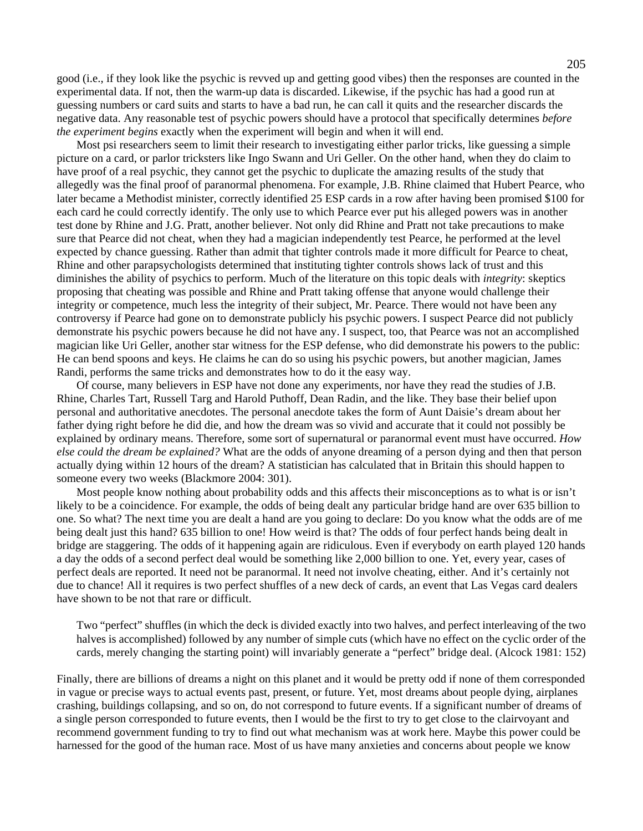good (i.e., if they look like the psychic is revved up and getting good vibes) then the responses are counted in the experimental data. If not, then the warm-up data is discarded. Likewise, if the psychic has had a good run at guessing numbers or card suits and starts to have a bad run, he can call it quits and the researcher discards the negative data. Any reasonable test of psychic powers should have a protocol that specifically determines *before the experiment begins* exactly when the experiment will begin and when it will end.

Most psi researchers seem to limit their research to investigating either parlor tricks, like guessing a simple picture on a card, or parlor tricksters like Ingo Swann and Uri Geller. On the other hand, when they do claim to have proof of a real psychic, they cannot get the psychic to duplicate the amazing results of the study that allegedly was the final proof of paranormal phenomena. For example, J.B. Rhine claimed that Hubert Pearce, who later became a Methodist minister, correctly identified 25 ESP cards in a row after having been promised \$100 for each card he could correctly identify. The only use to which Pearce ever put his alleged powers was in another test done by Rhine and J.G. Pratt, another believer. Not only did Rhine and Pratt not take precautions to make sure that Pearce did not cheat, when they had a magician independently test Pearce, he performed at the level expected by chance guessing. Rather than admit that tighter controls made it more difficult for Pearce to cheat, Rhine and other parapsychologists determined that instituting tighter controls shows lack of trust and this diminishes the ability of psychics to perform. Much of the literature on this topic deals with *integrity*: skeptics proposing that cheating was possible and Rhine and Pratt taking offense that anyone would challenge their integrity or competence, much less the integrity of their subject, Mr. Pearce. There would not have been any controversy if Pearce had gone on to demonstrate publicly his psychic powers. I suspect Pearce did not publicly demonstrate his psychic powers because he did not have any. I suspect, too, that Pearce was not an accomplished magician like Uri Geller, another star witness for the ESP defense, who did demonstrate his powers to the public: He can bend spoons and keys. He claims he can do so using his psychic powers, but another magician, James Randi, performs the same tricks and demonstrates how to do it the easy way.

Of course, many believers in ESP have not done any experiments, nor have they read the studies of J.B. Rhine, Charles Tart, Russell Targ and Harold Puthoff, Dean Radin, and the like. They base their belief upon personal and authoritative anecdotes. The personal anecdote takes the form of Aunt Daisie's dream about her father dying right before he did die, and how the dream was so vivid and accurate that it could not possibly be explained by ordinary means. Therefore, some sort of supernatural or paranormal event must have occurred. *How else could the dream be explained?* What are the odds of anyone dreaming of a person dying and then that person actually dying within 12 hours of the dream? A statistician has calculated that in Britain this should happen to someone every two weeks (Blackmore 2004: 301).

Most people know nothing about probability odds and this affects their misconceptions as to what is or isn't likely to be a coincidence. For example, the odds of being dealt any particular bridge hand are over 635 billion to one. So what? The next time you are dealt a hand are you going to declare: Do you know what the odds are of me being dealt just this hand? 635 billion to one! How weird is that? The odds of four perfect hands being dealt in bridge are staggering. The odds of it happening again are ridiculous. Even if everybody on earth played 120 hands a day the odds of a second perfect deal would be something like 2,000 billion to one. Yet, every year, cases of perfect deals are reported. It need not be paranormal. It need not involve cheating, either. And it's certainly not due to chance! All it requires is two perfect shuffles of a new deck of cards, an event that Las Vegas card dealers have shown to be not that rare or difficult.

Two "perfect" shuffles (in which the deck is divided exactly into two halves, and perfect interleaving of the two halves is accomplished) followed by any number of simple cuts (which have no effect on the cyclic order of the cards, merely changing the starting point) will invariably generate a "perfect" bridge deal. (Alcock 1981: 152)

Finally, there are billions of dreams a night on this planet and it would be pretty odd if none of them corresponded in vague or precise ways to actual events past, present, or future. Yet, most dreams about people dying, airplanes crashing, buildings collapsing, and so on, do not correspond to future events. If a significant number of dreams of a single person corresponded to future events, then I would be the first to try to get close to the clairvoyant and recommend government funding to try to find out what mechanism was at work here. Maybe this power could be harnessed for the good of the human race. Most of us have many anxieties and concerns about people we know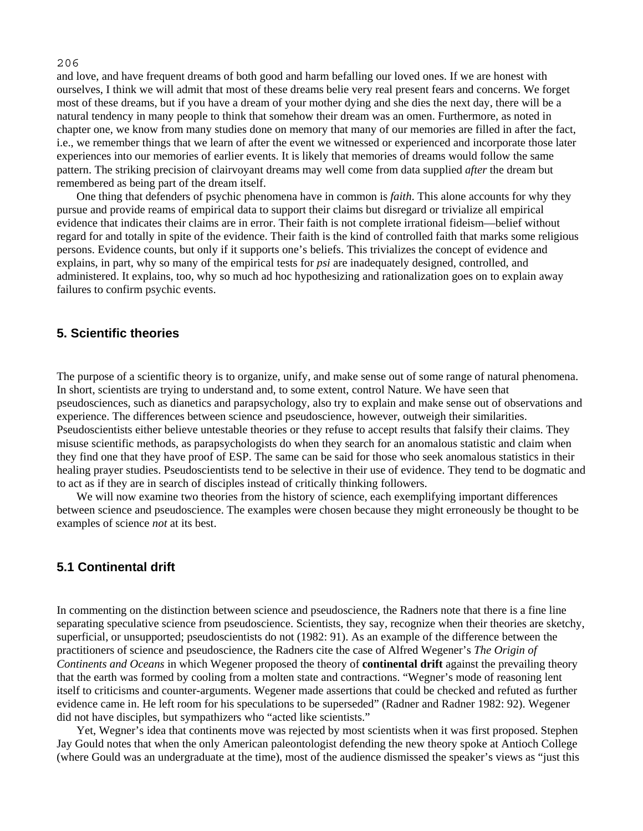and love, and have frequent dreams of both good and harm befalling our loved ones. If we are honest with ourselves, I think we will admit that most of these dreams belie very real present fears and concerns. We forget most of these dreams, but if you have a dream of your mother dying and she dies the next day, there will be a natural tendency in many people to think that somehow their dream was an omen. Furthermore, as noted in chapter one, we know from many studies done on memory that many of our memories are filled in after the fact, i.e., we remember things that we learn of after the event we witnessed or experienced and incorporate those later experiences into our memories of earlier events. It is likely that memories of dreams would follow the same pattern. The striking precision of clairvoyant dreams may well come from data supplied *after* the dream but remembered as being part of the dream itself.

One thing that defenders of psychic phenomena have in common is *faith*. This alone accounts for why they pursue and provide reams of empirical data to support their claims but disregard or trivialize all empirical evidence that indicates their claims are in error. Their faith is not complete irrational fideism—belief without regard for and totally in spite of the evidence. Their faith is the kind of controlled faith that marks some religious persons. Evidence counts, but only if it supports one's beliefs. This trivializes the concept of evidence and explains, in part, why so many of the empirical tests for *psi* are inadequately designed, controlled, and administered. It explains, too, why so much ad hoc hypothesizing and rationalization goes on to explain away failures to confirm psychic events.

### **5. Scientific theories**

The purpose of a scientific theory is to organize, unify, and make sense out of some range of natural phenomena. In short, scientists are trying to understand and, to some extent, control Nature. We have seen that pseudosciences, such as dianetics and parapsychology, also try to explain and make sense out of observations and experience. The differences between science and pseudoscience, however, outweigh their similarities. Pseudoscientists either believe untestable theories or they refuse to accept results that falsify their claims. They misuse scientific methods, as parapsychologists do when they search for an anomalous statistic and claim when they find one that they have proof of ESP. The same can be said for those who seek anomalous statistics in their healing prayer studies. Pseudoscientists tend to be selective in their use of evidence. They tend to be dogmatic and to act as if they are in search of disciples instead of critically thinking followers.

We will now examine two theories from the history of science, each exemplifying important differences between science and pseudoscience. The examples were chosen because they might erroneously be thought to be examples of science *not* at its best.

# **5.1 Continental drift**

In commenting on the distinction between science and pseudoscience, the Radners note that there is a fine line separating speculative science from pseudoscience. Scientists, they say, recognize when their theories are sketchy, superficial, or unsupported; pseudoscientists do not (1982: 91). As an example of the difference between the practitioners of science and pseudoscience, the Radners cite the case of Alfred Wegener's *The Origin of Continents and Oceans* in which Wegener proposed the theory of **continental drift** against the prevailing theory that the earth was formed by cooling from a molten state and contractions. "Wegner's mode of reasoning lent itself to criticisms and counter-arguments. Wegener made assertions that could be checked and refuted as further evidence came in. He left room for his speculations to be superseded" (Radner and Radner 1982: 92). Wegener did not have disciples, but sympathizers who "acted like scientists."

Yet, Wegner's idea that continents move was rejected by most scientists when it was first proposed. Stephen Jay Gould notes that when the only American paleontologist defending the new theory spoke at Antioch College (where Gould was an undergraduate at the time), most of the audience dismissed the speaker's views as "just this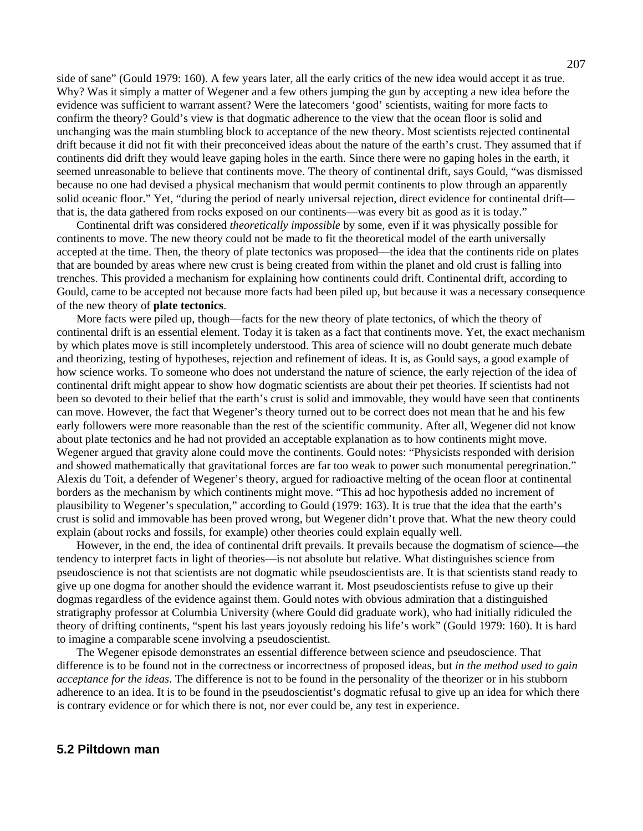side of sane" (Gould 1979: 160). A few years later, all the early critics of the new idea would accept it as true. Why? Was it simply a matter of Wegener and a few others jumping the gun by accepting a new idea before the evidence was sufficient to warrant assent? Were the latecomers 'good' scientists, waiting for more facts to confirm the theory? Gould's view is that dogmatic adherence to the view that the ocean floor is solid and unchanging was the main stumbling block to acceptance of the new theory. Most scientists rejected continental drift because it did not fit with their preconceived ideas about the nature of the earth's crust. They assumed that if continents did drift they would leave gaping holes in the earth. Since there were no gaping holes in the earth, it seemed unreasonable to believe that continents move. The theory of continental drift, says Gould, "was dismissed because no one had devised a physical mechanism that would permit continents to plow through an apparently solid oceanic floor." Yet, "during the period of nearly universal rejection, direct evidence for continental drift that is, the data gathered from rocks exposed on our continents—was every bit as good as it is today."

Continental drift was considered *theoretically impossible* by some, even if it was physically possible for continents to move. The new theory could not be made to fit the theoretical model of the earth universally accepted at the time. Then, the theory of plate tectonics was proposed—the idea that the continents ride on plates that are bounded by areas where new crust is being created from within the planet and old crust is falling into trenches. This provided a mechanism for explaining how continents could drift. Continental drift, according to Gould, came to be accepted not because more facts had been piled up, but because it was a necessary consequence of the new theory of **plate tectonics**.

More facts were piled up, though—facts for the new theory of plate tectonics, of which the theory of continental drift is an essential element. Today it is taken as a fact that continents move. Yet, the exact mechanism by which plates move is still incompletely understood. This area of science will no doubt generate much debate and theorizing, testing of hypotheses, rejection and refinement of ideas. It is, as Gould says, a good example of how science works. To someone who does not understand the nature of science, the early rejection of the idea of continental drift might appear to show how dogmatic scientists are about their pet theories. If scientists had not been so devoted to their belief that the earth's crust is solid and immovable, they would have seen that continents can move. However, the fact that Wegener's theory turned out to be correct does not mean that he and his few early followers were more reasonable than the rest of the scientific community. After all, Wegener did not know about plate tectonics and he had not provided an acceptable explanation as to how continents might move. Wegener argued that gravity alone could move the continents. Gould notes: "Physicists responded with derision and showed mathematically that gravitational forces are far too weak to power such monumental peregrination." Alexis du Toit, a defender of Wegener's theory, argued for radioactive melting of the ocean floor at continental borders as the mechanism by which continents might move. "This ad hoc hypothesis added no increment of plausibility to Wegener's speculation," according to Gould (1979: 163). It is true that the idea that the earth's crust is solid and immovable has been proved wrong, but Wegener didn't prove that. What the new theory could explain (about rocks and fossils, for example) other theories could explain equally well.

However, in the end, the idea of continental drift prevails. It prevails because the dogmatism of science—the tendency to interpret facts in light of theories—is not absolute but relative. What distinguishes science from pseudoscience is not that scientists are not dogmatic while pseudoscientists are. It is that scientists stand ready to give up one dogma for another should the evidence warrant it. Most pseudoscientists refuse to give up their dogmas regardless of the evidence against them. Gould notes with obvious admiration that a distinguished stratigraphy professor at Columbia University (where Gould did graduate work), who had initially ridiculed the theory of drifting continents, "spent his last years joyously redoing his life's work" (Gould 1979: 160). It is hard to imagine a comparable scene involving a pseudoscientist.

The Wegener episode demonstrates an essential difference between science and pseudoscience. That difference is to be found not in the correctness or incorrectness of proposed ideas, but *in the method used to gain acceptance for the ideas*. The difference is not to be found in the personality of the theorizer or in his stubborn adherence to an idea. It is to be found in the pseudoscientist's dogmatic refusal to give up an idea for which there is contrary evidence or for which there is not, nor ever could be, any test in experience.

### **5.2 Piltdown man**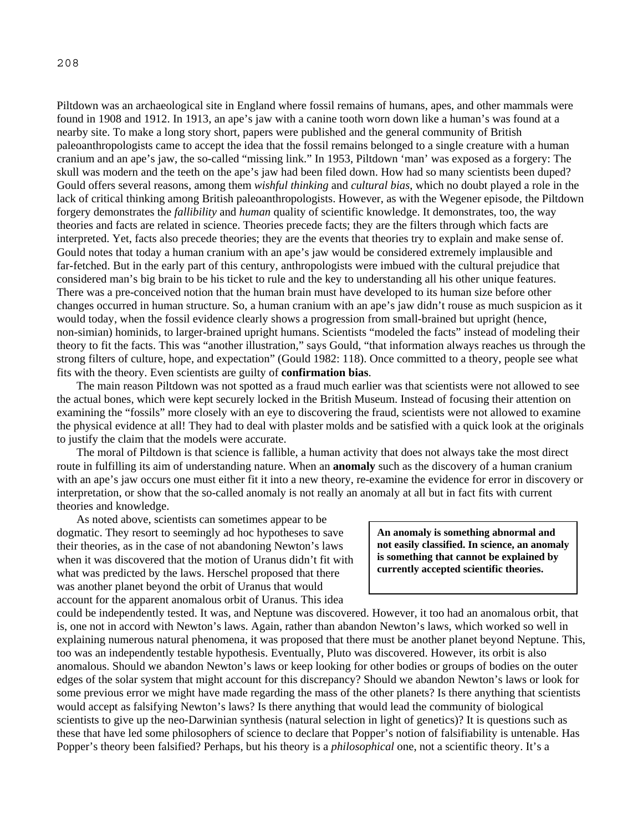Piltdown was an archaeological site in England where fossil remains of humans, apes, and other mammals were found in 1908 and 1912. In 1913, an ape's jaw with a canine tooth worn down like a human's was found at a nearby site. To make a long story short, papers were published and the general community of British paleoanthropologists came to accept the idea that the fossil remains belonged to a single creature with a human cranium and an ape's jaw, the so-called "missing link." In 1953, Piltdown 'man' was exposed as a forgery: The skull was modern and the teeth on the ape's jaw had been filed down. How had so many scientists been duped? Gould offers several reasons, among them *wishful thinking* and *cultural bias*, which no doubt played a role in the lack of critical thinking among British paleoanthropologists. However, as with the Wegener episode, the Piltdown forgery demonstrates the *fallibility* and *human* quality of scientific knowledge. It demonstrates, too, the way theories and facts are related in science. Theories precede facts; they are the filters through which facts are interpreted. Yet, facts also precede theories; they are the events that theories try to explain and make sense of. Gould notes that today a human cranium with an ape's jaw would be considered extremely implausible and far-fetched. But in the early part of this century, anthropologists were imbued with the cultural prejudice that considered man's big brain to be his ticket to rule and the key to understanding all his other unique features. There was a pre-conceived notion that the human brain must have developed to its human size before other changes occurred in human structure. So, a human cranium with an ape's jaw didn't rouse as much suspicion as it would today, when the fossil evidence clearly shows a progression from small-brained but upright (hence, non-simian) hominids, to larger-brained upright humans. Scientists "modeled the facts" instead of modeling their theory to fit the facts. This was "another illustration," says Gould, "that information always reaches us through the strong filters of culture, hope, and expectation" (Gould 1982: 118). Once committed to a theory, people see what fits with the theory. Even scientists are guilty of **confirmation bias**.

The main reason Piltdown was not spotted as a fraud much earlier was that scientists were not allowed to see the actual bones, which were kept securely locked in the British Museum. Instead of focusing their attention on examining the "fossils" more closely with an eye to discovering the fraud, scientists were not allowed to examine the physical evidence at all! They had to deal with plaster molds and be satisfied with a quick look at the originals to justify the claim that the models were accurate.

The moral of Piltdown is that science is fallible, a human activity that does not always take the most direct route in fulfilling its aim of understanding nature. When an **anomaly** such as the discovery of a human cranium with an ape's jaw occurs one must either fit it into a new theory, re-examine the evidence for error in discovery or interpretation, or show that the so-called anomaly is not really an anomaly at all but in fact fits with current theories and knowledge.

As noted above, scientists can sometimes appear to be dogmatic. They resort to seemingly ad hoc hypotheses to save their theories, as in the case of not abandoning Newton's laws when it was discovered that the motion of Uranus didn't fit with what was predicted by the laws. Herschel proposed that there was another planet beyond the orbit of Uranus that would account for the apparent anomalous orbit of Uranus. This idea

**An anomaly is something abnormal and not easily classified. In science, an anomaly is something that cannot be explained by currently accepted scientific theories.** 

could be independently tested. It was, and Neptune was discovered. However, it too had an anomalous orbit, that is, one not in accord with Newton's laws. Again, rather than abandon Newton's laws, which worked so well in explaining numerous natural phenomena, it was proposed that there must be another planet beyond Neptune. This, too was an independently testable hypothesis. Eventually, Pluto was discovered. However, its orbit is also anomalous. Should we abandon Newton's laws or keep looking for other bodies or groups of bodies on the outer edges of the solar system that might account for this discrepancy? Should we abandon Newton's laws or look for some previous error we might have made regarding the mass of the other planets? Is there anything that scientists would accept as falsifying Newton's laws? Is there anything that would lead the community of biological scientists to give up the neo-Darwinian synthesis (natural selection in light of genetics)? It is questions such as these that have led some philosophers of science to declare that Popper's notion of falsifiability is untenable. Has Popper's theory been falsified? Perhaps, but his theory is a *philosophical* one, not a scientific theory. It's a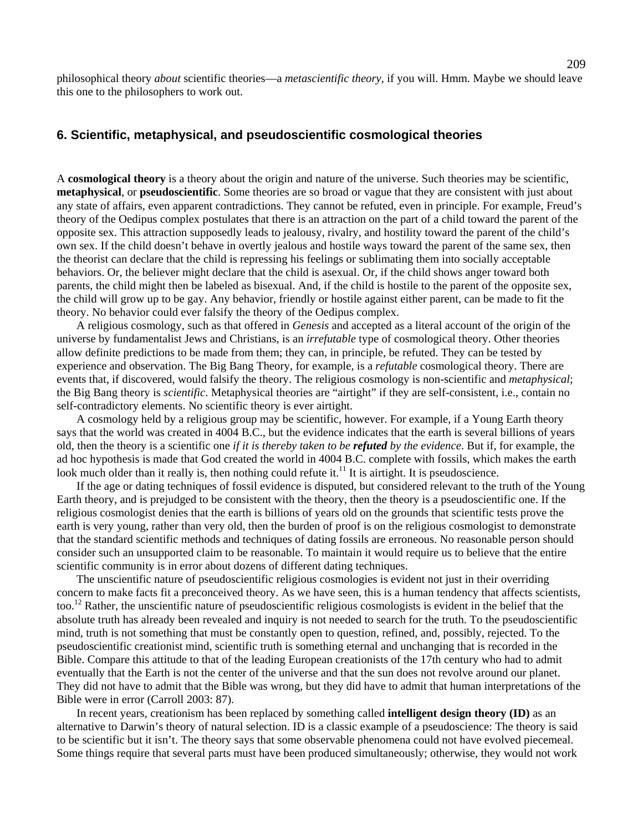philosophical theory *about* scientific theories—a *metascientific theory*, if you will. Hmm. Maybe we should leave this one to the philosophers to work out.

# **6. Scientific, metaphysical, and pseudoscientific cosmological theories**

A **cosmological theory** is a theory about the origin and nature of the universe. Such theories may be scientific, **metaphysical**, or **pseudoscientific**. Some theories are so broad or vague that they are consistent with just about any state of affairs, even apparent contradictions. They cannot be refuted, even in principle. For example, Freud's theory of the Oedipus complex postulates that there is an attraction on the part of a child toward the parent of the opposite sex. This attraction supposedly leads to jealousy, rivalry, and hostility toward the parent of the child's own sex. If the child doesn't behave in overtly jealous and hostile ways toward the parent of the same sex, then the theorist can declare that the child is repressing his feelings or sublimating them into socially acceptable behaviors. Or, the believer might declare that the child is asexual. Or, if the child shows anger toward both parents, the child might then be labeled as bisexual. And, if the child is hostile to the parent of the opposite sex, the child will grow up to be gay. Any behavior, friendly or hostile against either parent, can be made to fit the theory. No behavior could ever falsify the theory of the Oedipus complex.

 A religious cosmology, such as that offered in *Genesis* and accepted as a literal account of the origin of the universe by fundamentalist Jews and Christians, is an *irrefutable* type of cosmological theory. Other theories allow definite predictions to be made from them; they can, in principle, be refuted. They can be tested by experience and observation. The Big Bang Theory, for example, is a *refutable* cosmological theory. There are events that, if discovered, would falsify the theory. The religious cosmology is non-scientific and *metaphysical*; the Big Bang theory is *scientific*. Metaphysical theories are "airtight" if they are self-consistent, i.e., contain no self-contradictory elements. No scientific theory is ever airtight.

 A cosmology held by a religious group may be scientific, however. For example, if a Young Earth theory says that the world was created in 4004 B.C., but the evidence indicates that the earth is several billions of years old, then the theory is a scientific one *if it is thereby taken to be refuted by the evidence*. But if, for example, the ad hoc hypothesis is made that God created the world in 4004 B.C. complete with fossils, which makes the earth look much older than it really is, then nothing could refute it.<sup>11</sup> It is airtight. It is pseudoscience.

If the age or dating techniques of fossil evidence is disputed, but considered relevant to the truth of the Young Earth theory, and is prejudged to be consistent with the theory, then the theory is a pseudoscientific one. If the religious cosmologist denies that the earth is billions of years old on the grounds that scientific tests prove the earth is very young, rather than very old, then the burden of proof is on the religious cosmologist to demonstrate that the standard scientific methods and techniques of dating fossils are erroneous. No reasonable person should consider such an unsupported claim to be reasonable. To maintain it would require us to believe that the entire scientific community is in error about dozens of different dating techniques.

The unscientific nature of pseudoscientific religious cosmologies is evident not just in their overriding concern to make facts fit a preconceived theory. As we have seen, this is a human tendency that affects scientists, too.12 Rather, the unscientific nature of pseudoscientific religious cosmologists is evident in the belief that the absolute truth has already been revealed and inquiry is not needed to search for the truth. To the pseudoscientific mind, truth is not something that must be constantly open to question, refined, and, possibly, rejected. To the pseudoscientific creationist mind, scientific truth is something eternal and unchanging that is recorded in the Bible. Compare this attitude to that of the leading European creationists of the 17th century who had to admit eventually that the Earth is not the center of the universe and that the sun does not revolve around our planet. They did not have to admit that the Bible was wrong, but they did have to admit that human interpretations of the Bible were in error (Carroll 2003: 87).

In recent years, creationism has been replaced by something called **intelligent design theory (ID)** as an alternative to Darwin's theory of natural selection. ID is a classic example of a pseudoscience: The theory is said to be scientific but it isn't. The theory says that some observable phenomena could not have evolved piecemeal. Some things require that several parts must have been produced simultaneously; otherwise, they would not work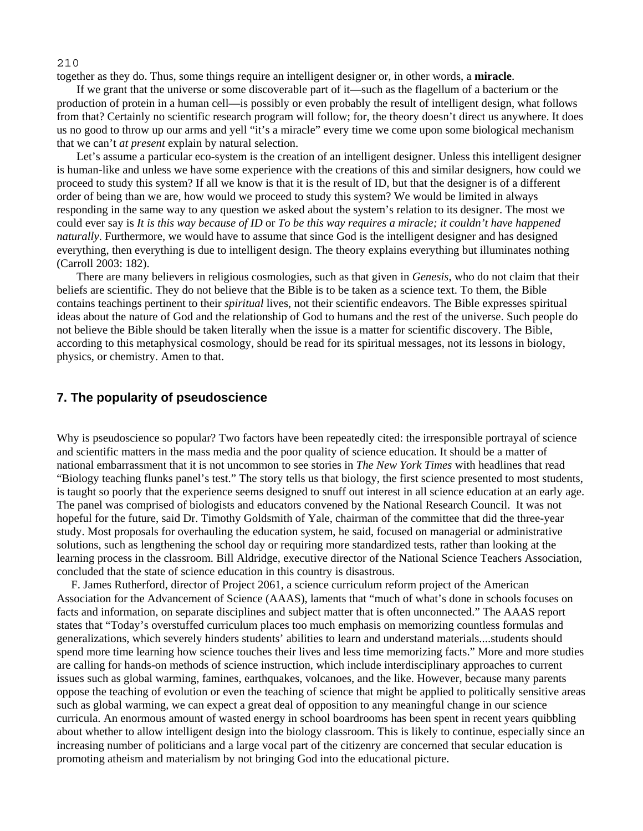together as they do. Thus, some things require an intelligent designer or, in other words, a **miracle**.

If we grant that the universe or some discoverable part of it—such as the flagellum of a bacterium or the production of protein in a human cell—is possibly or even probably the result of intelligent design, what follows from that? Certainly no scientific research program will follow; for, the theory doesn't direct us anywhere. It does us no good to throw up our arms and yell "it's a miracle" every time we come upon some biological mechanism that we can't *at present* explain by natural selection.

Let's assume a particular eco-system is the creation of an intelligent designer. Unless this intelligent designer is human-like and unless we have some experience with the creations of this and similar designers, how could we proceed to study this system? If all we know is that it is the result of ID, but that the designer is of a different order of being than we are, how would we proceed to study this system? We would be limited in always responding in the same way to any question we asked about the system's relation to its designer. The most we could ever say is *It is this way because of ID* or *To be this way requires a miracle; it couldn't have happened naturally*. Furthermore, we would have to assume that since God is the intelligent designer and has designed everything, then everything is due to intelligent design. The theory explains everything but illuminates nothing (Carroll 2003: 182).

There are many believers in religious cosmologies, such as that given in *Genesis,* who do not claim that their beliefs are scientific. They do not believe that the Bible is to be taken as a science text. To them, the Bible contains teachings pertinent to their *spiritual* lives, not their scientific endeavors. The Bible expresses spiritual ideas about the nature of God and the relationship of God to humans and the rest of the universe. Such people do not believe the Bible should be taken literally when the issue is a matter for scientific discovery. The Bible, according to this metaphysical cosmology, should be read for its spiritual messages, not its lessons in biology, physics, or chemistry. Amen to that.

# **7. The popularity of pseudoscience**

Why is pseudoscience so popular? Two factors have been repeatedly cited: the irresponsible portrayal of science and scientific matters in the mass media and the poor quality of science education. It should be a matter of national embarrassment that it is not uncommon to see stories in *The New York Times* with headlines that read "Biology teaching flunks panel's test." The story tells us that biology, the first science presented to most students, is taught so poorly that the experience seems designed to snuff out interest in all science education at an early age. The panel was comprised of biologists and educators convened by the National Research Council. It was not hopeful for the future, said Dr. Timothy Goldsmith of Yale, chairman of the committee that did the three-year study. Most proposals for overhauling the education system, he said, focused on managerial or administrative solutions, such as lengthening the school day or requiring more standardized tests, rather than looking at the learning process in the classroom. Bill Aldridge, executive director of the National Science Teachers Association, concluded that the state of science education in this country is disastrous.

 F. James Rutherford, director of Project 2061, a science curriculum reform project of the American Association for the Advancement of Science (AAAS), laments that "much of what's done in schools focuses on facts and information, on separate disciplines and subject matter that is often unconnected." The AAAS report states that "Today's overstuffed curriculum places too much emphasis on memorizing countless formulas and generalizations, which severely hinders students' abilities to learn and understand materials....students should spend more time learning how science touches their lives and less time memorizing facts." More and more studies are calling for hands-on methods of science instruction, which include interdisciplinary approaches to current issues such as global warming, famines, earthquakes, volcanoes, and the like. However, because many parents oppose the teaching of evolution or even the teaching of science that might be applied to politically sensitive areas such as global warming, we can expect a great deal of opposition to any meaningful change in our science curricula. An enormous amount of wasted energy in school boardrooms has been spent in recent years quibbling about whether to allow intelligent design into the biology classroom. This is likely to continue, especially since an increasing number of politicians and a large vocal part of the citizenry are concerned that secular education is promoting atheism and materialism by not bringing God into the educational picture.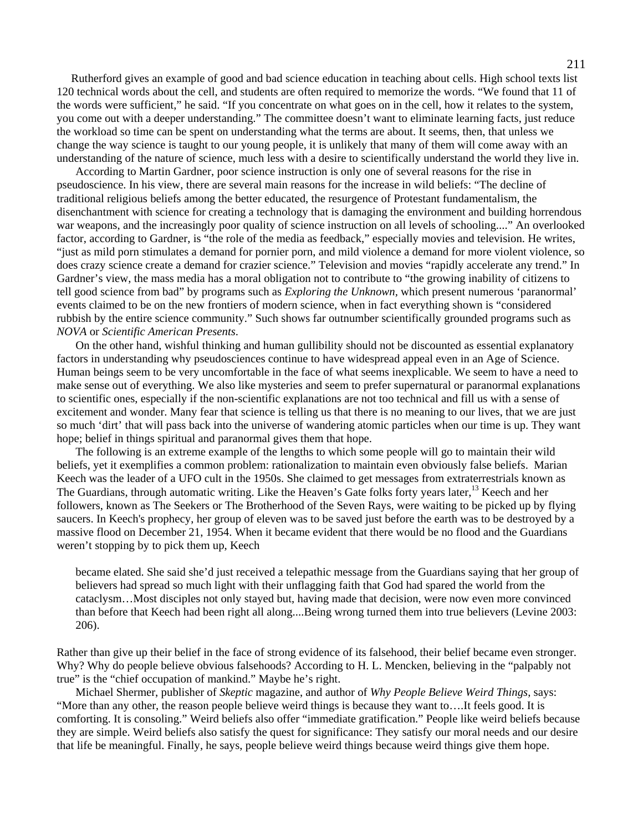Rutherford gives an example of good and bad science education in teaching about cells. High school texts list 120 technical words about the cell, and students are often required to memorize the words. "We found that 11 of the words were sufficient," he said. "If you concentrate on what goes on in the cell, how it relates to the system, you come out with a deeper understanding." The committee doesn't want to eliminate learning facts, just reduce the workload so time can be spent on understanding what the terms are about. It seems, then, that unless we change the way science is taught to our young people, it is unlikely that many of them will come away with an understanding of the nature of science, much less with a desire to scientifically understand the world they live in.

 According to Martin Gardner, poor science instruction is only one of several reasons for the rise in pseudoscience. In his view, there are several main reasons for the increase in wild beliefs: "The decline of traditional religious beliefs among the better educated, the resurgence of Protestant fundamentalism, the disenchantment with science for creating a technology that is damaging the environment and building horrendous war weapons, and the increasingly poor quality of science instruction on all levels of schooling...." An overlooked factor, according to Gardner, is "the role of the media as feedback," especially movies and television. He writes, "just as mild porn stimulates a demand for pornier porn, and mild violence a demand for more violent violence, so does crazy science create a demand for crazier science." Television and movies "rapidly accelerate any trend." In Gardner's view, the mass media has a moral obligation not to contribute to "the growing inability of citizens to tell good science from bad" by programs such as *Exploring the Unknown,* which present numerous 'paranormal' events claimed to be on the new frontiers of modern science, when in fact everything shown is "considered rubbish by the entire science community." Such shows far outnumber scientifically grounded programs such as *NOVA* or *Scientific American Presents*.

 On the other hand, wishful thinking and human gullibility should not be discounted as essential explanatory factors in understanding why pseudosciences continue to have widespread appeal even in an Age of Science. Human beings seem to be very uncomfortable in the face of what seems inexplicable. We seem to have a need to make sense out of everything. We also like mysteries and seem to prefer supernatural or paranormal explanations to scientific ones, especially if the non-scientific explanations are not too technical and fill us with a sense of excitement and wonder. Many fear that science is telling us that there is no meaning to our lives, that we are just so much 'dirt' that will pass back into the universe of wandering atomic particles when our time is up. They want hope; belief in things spiritual and paranormal gives them that hope.

 The following is an extreme example of the lengths to which some people will go to maintain their wild beliefs, yet it exemplifies a common problem: rationalization to maintain even obviously false beliefs. Marian Keech was the leader of a UFO cult in the 1950s. She claimed to get messages from extraterrestrials known as The Guardians, through automatic writing. Like the Heaven's Gate folks forty years later,<sup>13</sup> Keech and her followers, known as The Seekers or The Brotherhood of the Seven Rays, were waiting to be picked up by flying saucers. In Keech's prophecy, her group of eleven was to be saved just before the earth was to be destroyed by a massive flood on December 21, 1954. When it became evident that there would be no flood and the Guardians weren't stopping by to pick them up, Keech

became elated. She said she'd just received a telepathic message from the Guardians saying that her group of believers had spread so much light with their unflagging faith that God had spared the world from the cataclysm…Most disciples not only stayed but, having made that decision, were now even more convinced than before that Keech had been right all along....Being wrong turned them into true believers (Levine 2003: 206).

Rather than give up their belief in the face of strong evidence of its falsehood, their belief became even stronger. Why? Why do people believe obvious falsehoods? According to H. L. Mencken, believing in the "palpably not true" is the "chief occupation of mankind." Maybe he's right.

Michael Shermer, publisher of *Skeptic* magazine, and author of *Why People Believe Weird Things*, says: "More than any other, the reason people believe weird things is because they want to….It feels good. It is comforting. It is consoling." Weird beliefs also offer "immediate gratification." People like weird beliefs because they are simple. Weird beliefs also satisfy the quest for significance: They satisfy our moral needs and our desire that life be meaningful. Finally, he says, people believe weird things because weird things give them hope.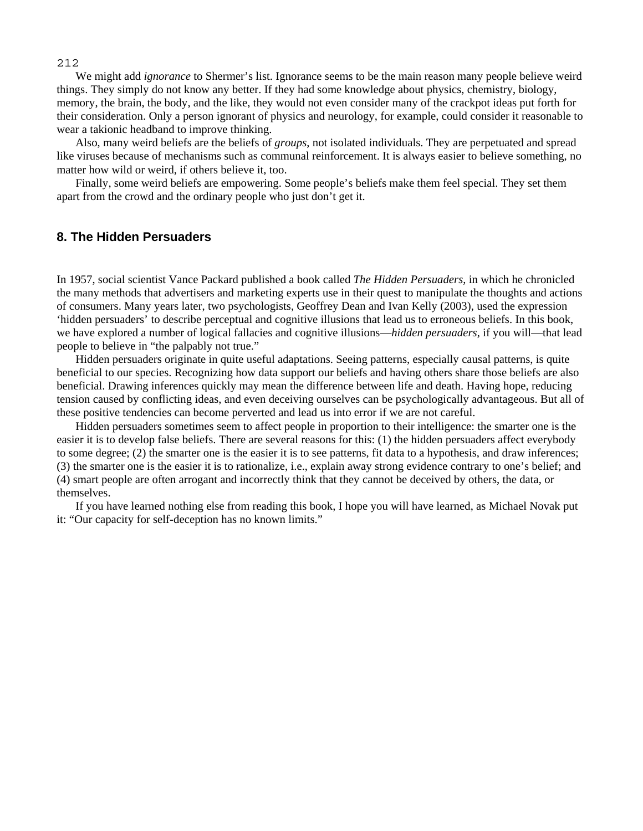We might add *ignorance* to Shermer's list. Ignorance seems to be the main reason many people believe weird things. They simply do not know any better. If they had some knowledge about physics, chemistry, biology, memory, the brain, the body, and the like, they would not even consider many of the crackpot ideas put forth for their consideration. Only a person ignorant of physics and neurology, for example, could consider it reasonable to wear a takionic headband to improve thinking.

Also, many weird beliefs are the beliefs of *groups*, not isolated individuals. They are perpetuated and spread like viruses because of mechanisms such as communal reinforcement. It is always easier to believe something, no matter how wild or weird, if others believe it, too.

Finally, some weird beliefs are empowering. Some people's beliefs make them feel special. They set them apart from the crowd and the ordinary people who just don't get it.

# **8. The Hidden Persuaders**

In 1957, social scientist Vance Packard published a book called *The Hidden Persuaders*, in which he chronicled the many methods that advertisers and marketing experts use in their quest to manipulate the thoughts and actions of consumers. Many years later, two psychologists, Geoffrey Dean and Ivan Kelly (2003), used the expression 'hidden persuaders' to describe perceptual and cognitive illusions that lead us to erroneous beliefs. In this book, we have explored a number of logical fallacies and cognitive illusions—*hidden persuaders*, if you will—that lead people to believe in "the palpably not true."

 Hidden persuaders originate in quite useful adaptations. Seeing patterns, especially causal patterns, is quite beneficial to our species. Recognizing how data support our beliefs and having others share those beliefs are also beneficial. Drawing inferences quickly may mean the difference between life and death. Having hope, reducing tension caused by conflicting ideas, and even deceiving ourselves can be psychologically advantageous. But all of these positive tendencies can become perverted and lead us into error if we are not careful.

 Hidden persuaders sometimes seem to affect people in proportion to their intelligence: the smarter one is the easier it is to develop false beliefs. There are several reasons for this: (1) the hidden persuaders affect everybody to some degree; (2) the smarter one is the easier it is to see patterns, fit data to a hypothesis, and draw inferences; (3) the smarter one is the easier it is to rationalize, i.e., explain away strong evidence contrary to one's belief; and (4) smart people are often arrogant and incorrectly think that they cannot be deceived by others, the data, or themselves.

If you have learned nothing else from reading this book, I hope you will have learned, as Michael Novak put it: "Our capacity for self-deception has no known limits."

#### 212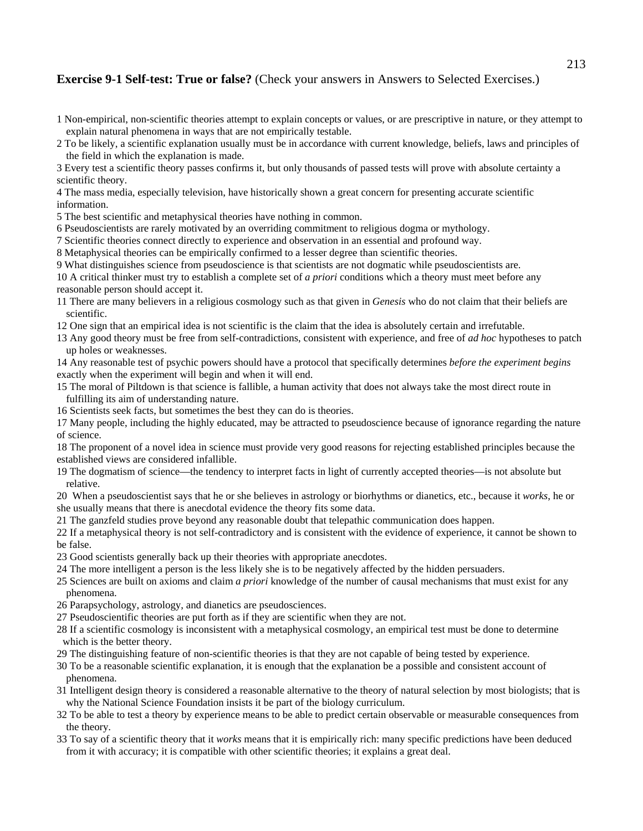# **Exercise 9-1 Self-test: True or false?** (Check your answers in Answers to Selected Exercises.)

- 1 Non-empirical, non-scientific theories attempt to explain concepts or values, or are prescriptive in nature, or they attempt to explain natural phenomena in ways that are not empirically testable.
- 2 To be likely, a scientific explanation usually must be in accordance with current knowledge, beliefs, laws and principles of the field in which the explanation is made.

3 Every test a scientific theory passes confirms it, but only thousands of passed tests will prove with absolute certainty a scientific theory.

4 The mass media, especially television, have historically shown a great concern for presenting accurate scientific information.

5 The best scientific and metaphysical theories have nothing in common.

6 Pseudoscientists are rarely motivated by an overriding commitment to religious dogma or mythology.

7 Scientific theories connect directly to experience and observation in an essential and profound way.

8 Metaphysical theories can be empirically confirmed to a lesser degree than scientific theories.

9 What distinguishes science from pseudoscience is that scientists are not dogmatic while pseudoscientists are.

10 A critical thinker must try to establish a complete set of *a priori* conditions which a theory must meet before any reasonable person should accept it.

- 11 There are many believers in a religious cosmology such as that given in *Genesis* who do not claim that their beliefs are scientific.
- 12 One sign that an empirical idea is not scientific is the claim that the idea is absolutely certain and irrefutable.
- 13 Any good theory must be free from self-contradictions, consistent with experience, and free of *ad hoc* hypotheses to patch up holes or weaknesses.

14 Any reasonable test of psychic powers should have a protocol that specifically determines *before the experiment begins* exactly when the experiment will begin and when it will end.

- 15 The moral of Piltdown is that science is fallible, a human activity that does not always take the most direct route in fulfilling its aim of understanding nature.
- 16 Scientists seek facts, but sometimes the best they can do is theories.

17 Many people, including the highly educated, may be attracted to pseudoscience because of ignorance regarding the nature of science.

18 The proponent of a novel idea in science must provide very good reasons for rejecting established principles because the established views are considered infallible.

- 19 The dogmatism of science—the tendency to interpret facts in light of currently accepted theories—is not absolute but relative.
- 20 When a pseudoscientist says that he or she believes in astrology or biorhythms or dianetics, etc., because it *works*, he or she usually means that there is anecdotal evidence the theory fits some data.
- 21 The ganzfeld studies prove beyond any reasonable doubt that telepathic communication does happen.

22 If a metaphysical theory is not self-contradictory and is consistent with the evidence of experience, it cannot be shown to be false.

- 23 Good scientists generally back up their theories with appropriate anecdotes.
- 24 The more intelligent a person is the less likely she is to be negatively affected by the hidden persuaders.
- 25 Sciences are built on axioms and claim *a priori* knowledge of the number of causal mechanisms that must exist for any phenomena.
- 26 Parapsychology, astrology, and dianetics are pseudosciences.
- 27 Pseudoscientific theories are put forth as if they are scientific when they are not.
- 28 If a scientific cosmology is inconsistent with a metaphysical cosmology, an empirical test must be done to determine which is the better theory.
- 29 The distinguishing feature of non-scientific theories is that they are not capable of being tested by experience.
- 30 To be a reasonable scientific explanation, it is enough that the explanation be a possible and consistent account of phenomena.
- 31 Intelligent design theory is considered a reasonable alternative to the theory of natural selection by most biologists; that is why the National Science Foundation insists it be part of the biology curriculum.
- 32 To be able to test a theory by experience means to be able to predict certain observable or measurable consequences from the theory.
- 33 To say of a scientific theory that it *works* means that it is empirically rich: many specific predictions have been deduced from it with accuracy; it is compatible with other scientific theories; it explains a great deal.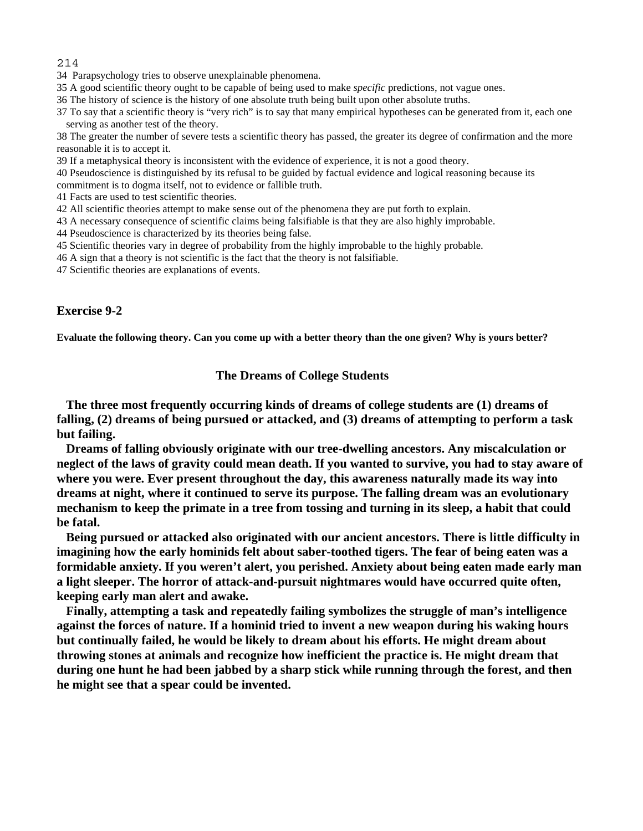34 Parapsychology tries to observe unexplainable phenomena.

35 A good scientific theory ought to be capable of being used to make *specific* predictions, not vague ones.

36 The history of science is the history of one absolute truth being built upon other absolute truths.

37 To say that a scientific theory is "very rich" is to say that many empirical hypotheses can be generated from it, each one serving as another test of the theory.

38 The greater the number of severe tests a scientific theory has passed, the greater its degree of confirmation and the more reasonable it is to accept it.

39 If a metaphysical theory is inconsistent with the evidence of experience, it is not a good theory.

40 Pseudoscience is distinguished by its refusal to be guided by factual evidence and logical reasoning because its commitment is to dogma itself, not to evidence or fallible truth.

41 Facts are used to test scientific theories.

42 All scientific theories attempt to make sense out of the phenomena they are put forth to explain.

43 A necessary consequence of scientific claims being falsifiable is that they are also highly improbable.

44 Pseudoscience is characterized by its theories being false.

45 Scientific theories vary in degree of probability from the highly improbable to the highly probable.

46 A sign that a theory is not scientific is the fact that the theory is not falsifiable.

47 Scientific theories are explanations of events.

#### **Exercise 9-2**

**Evaluate the following theory. Can you come up with a better theory than the one given? Why is yours better?** 

### **The Dreams of College Students**

**The three most frequently occurring kinds of dreams of college students are (1) dreams of falling, (2) dreams of being pursued or attacked, and (3) dreams of attempting to perform a task but failing.** 

**Dreams of falling obviously originate with our tree-dwelling ancestors. Any miscalculation or neglect of the laws of gravity could mean death. If you wanted to survive, you had to stay aware of where you were. Ever present throughout the day, this awareness naturally made its way into dreams at night, where it continued to serve its purpose. The falling dream was an evolutionary mechanism to keep the primate in a tree from tossing and turning in its sleep, a habit that could be fatal.** 

**Being pursued or attacked also originated with our ancient ancestors. There is little difficulty in imagining how the early hominids felt about saber-toothed tigers. The fear of being eaten was a formidable anxiety. If you weren't alert, you perished. Anxiety about being eaten made early man a light sleeper. The horror of attack-and-pursuit nightmares would have occurred quite often, keeping early man alert and awake.** 

**Finally, attempting a task and repeatedly failing symbolizes the struggle of man's intelligence against the forces of nature. If a hominid tried to invent a new weapon during his waking hours but continually failed, he would be likely to dream about his efforts. He might dream about throwing stones at animals and recognize how inefficient the practice is. He might dream that during one hunt he had been jabbed by a sharp stick while running through the forest, and then he might see that a spear could be invented.**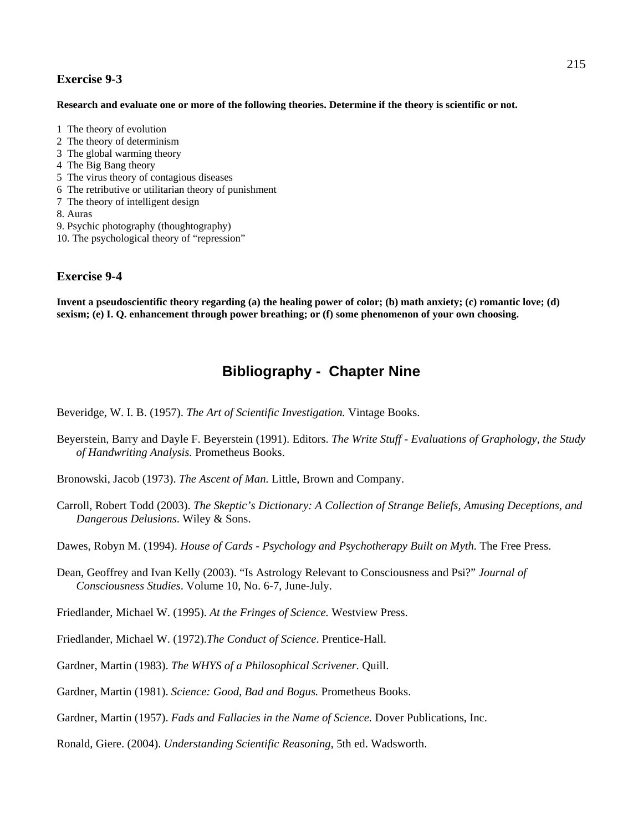# **Exercise 9-3**

#### **Research and evaluate one or more of the following theories. Determine if the theory is scientific or not.**

- 1 The theory of evolution
- 2 The theory of determinism
- 3 The global warming theory
- 4 The Big Bang theory
- 5 The virus theory of contagious diseases
- 6 The retributive or utilitarian theory of punishment
- 7 The theory of intelligent design
- 8. Auras
- 9. Psychic photography (thoughtography)
- 10. The psychological theory of "repression"

### **Exercise 9-4**

**Invent a pseudoscientific theory regarding (a) the healing power of color; (b) math anxiety; (c) romantic love; (d) sexism; (e) I. Q. enhancement through power breathing; or (f) some phenomenon of your own choosing.** 

# **Bibliography - Chapter Nine**

Beveridge, W. I. B. (1957). *The Art of Scientific Investigation.* Vintage Books.

- Beyerstein, Barry and Dayle F. Beyerstein (1991). Editors. *The Write Stuff Evaluations of Graphology, the Study of Handwriting Analysis.* Prometheus Books.
- Bronowski, Jacob (1973). *The Ascent of Man.* Little, Brown and Company.
- Carroll, Robert Todd (2003). *The Skeptic's Dictionary: A Collection of Strange Beliefs, Amusing Deceptions, and Dangerous Delusions*. Wiley & Sons.
- Dawes, Robyn M. (1994). *House of Cards Psychology and Psychotherapy Built on Myth.* The Free Press.
- Dean, Geoffrey and Ivan Kelly (2003). "Is Astrology Relevant to Consciousness and Psi?" *Journal of Consciousness Studies*. Volume 10, No. 6-7, June-July.
- Friedlander, Michael W. (1995). *At the Fringes of Science.* Westview Press.
- Friedlander, Michael W. (1972).*The Conduct of Science*. Prentice-Hall.
- Gardner, Martin (1983). *The WHYS of a Philosophical Scrivener.* Quill.
- Gardner, Martin (1981). *Science: Good, Bad and Bogus.* Prometheus Books.
- Gardner, Martin (1957). *Fads and Fallacies in the Name of Science.* Dover Publications, Inc.
- Ronald, Giere. (2004). *Understanding Scientific Reasoning*, 5th ed. Wadsworth.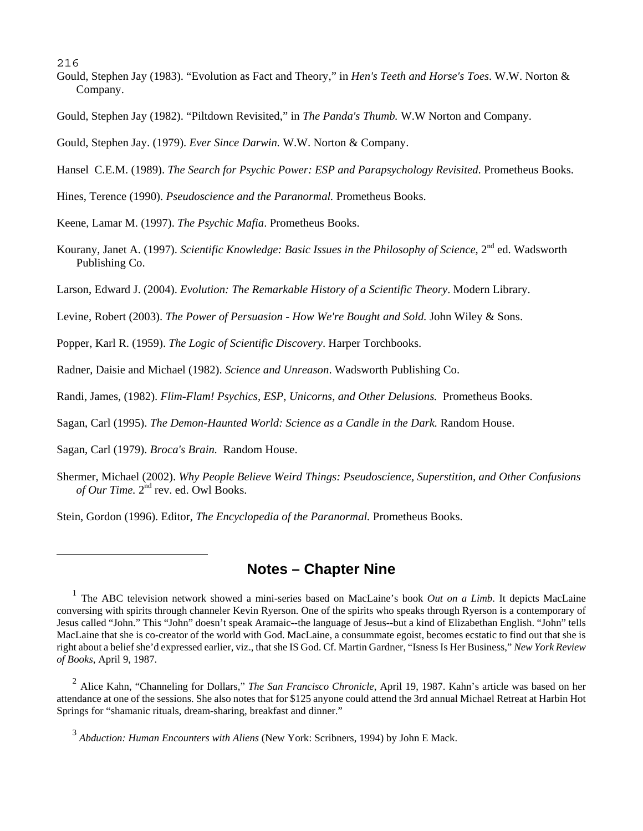- Gould, Stephen Jay (1983). "Evolution as Fact and Theory," in *Hen's Teeth and Horse's Toes*. W.W. Norton & Company.
- Gould, Stephen Jay (1982). "Piltdown Revisited," in *The Panda's Thumb.* W.W Norton and Company.

Gould, Stephen Jay. (1979). *Ever Since Darwin.* W.W. Norton & Company.

Hansel C.E.M. (1989). *The Search for Psychic Power: ESP and Parapsychology Revisited*. Prometheus Books.

Hines, Terence (1990). *Pseudoscience and the Paranormal.* Prometheus Books.

Keene, Lamar M. (1997). *The Psychic Mafia*. Prometheus Books.

- Kourany, Janet A. (1997). *Scientific Knowledge: Basic Issues in the Philosophy of Science*, 2nd ed. Wadsworth Publishing Co.
- Larson, Edward J. (2004). *Evolution: The Remarkable History of a Scientific Theory*. Modern Library.
- Levine, Robert (2003). *The Power of Persuasion How We're Bought and Sold.* John Wiley & Sons.

Popper, Karl R. (1959). *The Logic of Scientific Discovery*. Harper Torchbooks.

Radner, Daisie and Michael (1982). *Science and Unreason*. Wadsworth Publishing Co.

Randi, James, (1982). *Flim-Flam! Psychics, ESP, Unicorns, and Other Delusions.* Prometheus Books.

Sagan, Carl (1995). *The Demon-Haunted World: Science as a Candle in the Dark.* Random House.

Sagan, Carl (1979). *Broca's Brain.* Random House.

Shermer, Michael (2002). *Why People Believe Weird Things: Pseudoscience, Superstition, and Other Confusions of Our Time.* 2<sup>nd</sup> rev. ed. Owl Books.

Stein, Gordon (1996). Editor, *The Encyclopedia of the Paranormal.* Prometheus Books.

# **Notes – Chapter Nine**

<sup>&</sup>lt;sup>1</sup> The ABC television network showed a mini-series based on MacLaine's book *Out on a Limb*. It depicts MacLaine conversing with spirits through channeler Kevin Ryerson. One of the spirits who speaks through Ryerson is a contemporary of Jesus called "John." This "John" doesn't speak Aramaic--the language of Jesus--but a kind of Elizabethan English. "John" tells MacLaine that she is co-creator of the world with God. MacLaine, a consummate egoist, becomes ecstatic to find out that she is right about a belief she'd expressed earlier, viz., that she IS God. Cf. Martin Gardner, "Isness Is Her Business," *New York Review of Books*, April 9, 1987.

<sup>2</sup> Alice Kahn, "Channeling for Dollars," *The San Francisco Chronicle*, April 19, 1987. Kahn's article was based on her attendance at one of the sessions. She also notes that for \$125 anyone could attend the 3rd annual Michael Retreat at Harbin Hot Springs for "shamanic rituals, dream-sharing, breakfast and dinner."

<sup>3</sup> *Abduction: Human Encounters with Aliens* (New York: Scribners, 1994) by John E Mack.